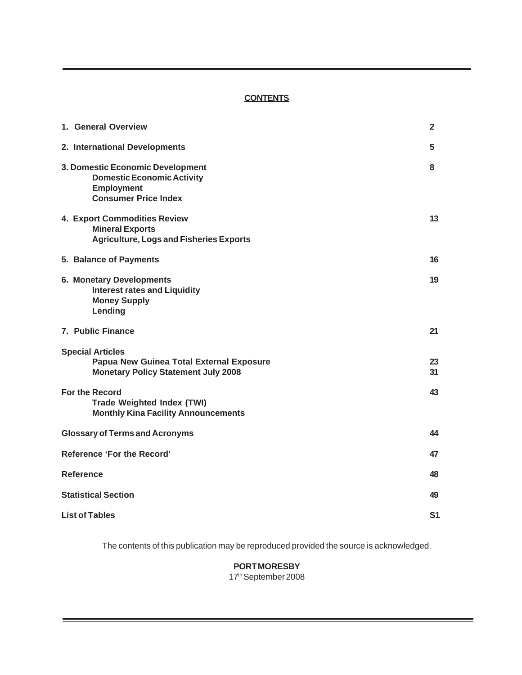## **CONTENTS**

| 1. General Overview                                                                                                       | $\mathbf{2}$   |
|---------------------------------------------------------------------------------------------------------------------------|----------------|
| 2. International Developments                                                                                             | 5.             |
| 3. Domestic Economic Development<br><b>Domestic Economic Activity</b><br><b>Employment</b><br><b>Consumer Price Index</b> | 8              |
| 4. Export Commodities Review<br><b>Mineral Exports</b><br><b>Agriculture, Logs and Fisheries Exports</b>                  | 13             |
| 5. Balance of Payments                                                                                                    | 16             |
| <b>6. Monetary Developments</b><br><b>Interest rates and Liquidity</b><br><b>Money Supply</b><br>Lending                  | 19             |
| 7. Public Finance                                                                                                         | 21             |
| <b>Special Articles</b><br>Papua New Guinea Total External Exposure<br><b>Monetary Policy Statement July 2008</b>         | 23<br>31       |
| For the Record<br><b>Trade Weighted Index (TWI)</b><br><b>Monthly Kina Facility Announcements</b>                         | 43             |
| <b>Glossary of Terms and Acronyms</b>                                                                                     | 44             |
| <b>Reference 'For the Record'</b>                                                                                         | 47             |
| <b>Reference</b>                                                                                                          | 48             |
| <b>Statistical Section</b>                                                                                                | 49             |
| <b>List of Tables</b>                                                                                                     | S <sub>1</sub> |

The contents of this publication may be reproduced provided the source is acknowledged.

# **PORT MORESBY**

17<sup>th</sup> September 2008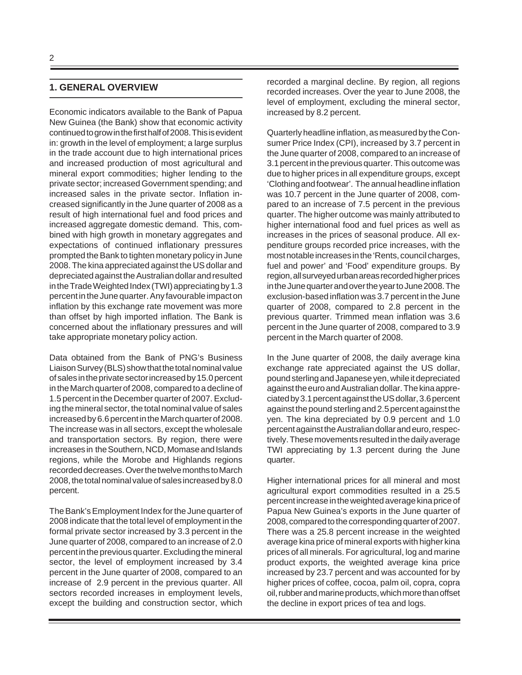## **1. GENERAL OVERVIEW**

Economic indicators available to the Bank of Papua New Guinea (the Bank) show that economic activity continued to grow in the first half of 2008. This is evident in: growth in the level of employment; a large surplus in the trade account due to high international prices and increased production of most agricultural and mineral export commodities; higher lending to the private sector; increased Government spending; and increased sales in the private sector. Inflation increased significantly in the June quarter of 2008 as a result of high international fuel and food prices and increased aggregate domestic demand. This, combined with high growth in monetary aggregates and expectations of continued inflationary pressures prompted the Bank to tighten monetary policy in June 2008. The kina appreciated against the US dollar and depreciated against the Australian dollar and resulted in the Trade Weighted Index (TWI) appreciating by 1.3 percent in the June quarter. Any favourable impact on inflation by this exchange rate movement was more than offset by high imported inflation. The Bank is concerned about the inflationary pressures and will take appropriate monetary policy action.

Data obtained from the Bank of PNG's Business Liaison Survey (BLS) show that the total nominal value of sales in the private sector increased by 15.0 percent in the March quarter of 2008, compared to a decline of 1.5 percent in the December quarter of 2007. Excluding the mineral sector, the total nominal value of sales increased by 6.6 percent in the March quarter of 2008. The increase was in all sectors, except the wholesale and transportation sectors. By region, there were increases in the Southern, NCD, Momase and Islands regions, while the Morobe and Highlands regions recorded decreases. Over the twelve months to March 2008, the total nominal value of sales increased by 8.0 percent.

The Bank's Employment Index for the June quarter of 2008 indicate that the total level of employment in the formal private sector increased by 3.3 percent in the June quarter of 2008, compared to an increase of 2.0 percent in the previous quarter. Excluding the mineral sector, the level of employment increased by 3.4 percent in the June quarter of 2008, compared to an increase of 2.9 percent in the previous quarter. All sectors recorded increases in employment levels, except the building and construction sector, which recorded a marginal decline. By region, all regions recorded increases. Over the year to June 2008, the level of employment, excluding the mineral sector, increased by 8.2 percent.

Quarterly headline inflation, as measured by the Consumer Price Index (CPI), increased by 3.7 percent in the June quarter of 2008, compared to an increase of 3.1 percent in the previous quarter. This outcome was due to higher prices in all expenditure groups, except 'Clothing and footwear'. The annual headline inflation was 10.7 percent in the June quarter of 2008, compared to an increase of 7.5 percent in the previous quarter. The higher outcome was mainly attributed to higher international food and fuel prices as well as increases in the prices of seasonal produce. All expenditure groups recorded price increases, with the most notable increases in the 'Rents, council charges, fuel and power' and 'Food' expenditure groups. By region, all surveyed urban areas recorded higher prices in the June quarter and over the year to June 2008. The exclusion-based inflation was 3.7 percent in the June quarter of 2008, compared to 2.8 percent in the previous quarter. Trimmed mean inflation was 3.6 percent in the June quarter of 2008, compared to 3.9 percent in the March quarter of 2008.

In the June quarter of 2008, the daily average kina exchange rate appreciated against the US dollar, pound sterling and Japanese yen, while it depreciated against the euro and Australian dollar. The kina appreciated by 3.1 percent against the US dollar, 3.6 percent against the pound sterling and 2.5 percent against the yen. The kina depreciated by 0.9 percent and 1.0 percent against the Australian dollar and euro, respectively. These movements resulted in the daily average TWI appreciating by 1.3 percent during the June quarter.

Higher international prices for all mineral and most agricultural export commodities resulted in a 25.5 percent increase in the weighted average kina price of Papua New Guinea's exports in the June quarter of 2008, compared to the corresponding quarter of 2007. There was a 25.8 percent increase in the weighted average kina price of mineral exports with higher kina prices of all minerals. For agricultural, log and marine product exports, the weighted average kina price increased by 23.7 percent and was accounted for by higher prices of coffee, cocoa, palm oil, copra, copra oil, rubber and marine products, which more than offset the decline in export prices of tea and logs.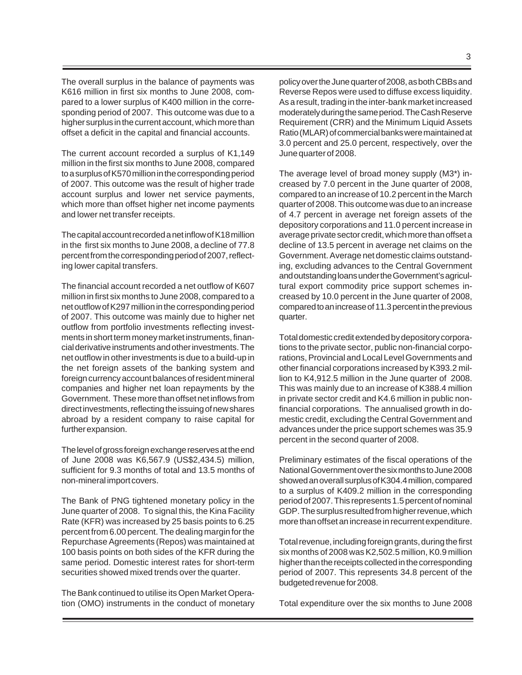The overall surplus in the balance of payments was K616 million in first six months to June 2008, compared to a lower surplus of K400 million in the corresponding period of 2007. This outcome was due to a higher surplus in the current account, which more than offset a deficit in the capital and financial accounts.

The current account recorded a surplus of K1,149 million in the first six months to June 2008, compared to a surplus of K570 million in the corresponding period of 2007. This outcome was the result of higher trade account surplus and lower net service payments, which more than offset higher net income payments and lower net transfer receipts.

The capital account recorded a net inflow of K18 million in the first six months to June 2008, a decline of 77.8 percent from the corresponding period of 2007, reflecting lower capital transfers.

The financial account recorded a net outflow of K607 million in first six months to June 2008, compared to a net outflow of K297 million in the corresponding period of 2007. This outcome was mainly due to higher net outflow from portfolio investments reflecting investments in short term money market instruments, financial derivative instruments and other investments. The net outflow in other investments is due to a build-up in the net foreign assets of the banking system and foreign currency account balances of resident mineral companies and higher net loan repayments by the Government. These more than offset net inflows from direct investments, reflecting the issuing of new shares abroad by a resident company to raise capital for further expansion.

The level of gross foreign exchange reserves at the end of June 2008 was K6,567.9 (US\$2,434.5) million, sufficient for 9.3 months of total and 13.5 months of non-mineral import covers.

The Bank of PNG tightened monetary policy in the June quarter of 2008. To signal this, the Kina Facility Rate (KFR) was increased by 25 basis points to 6.25 percent from 6.00 percent. The dealing margin for the Repurchase Agreements (Repos) was maintained at 100 basis points on both sides of the KFR during the same period. Domestic interest rates for short-term securities showed mixed trends over the quarter.

The Bank continued to utilise its Open Market Operation (OMO) instruments in the conduct of monetary policy over the June quarter of 2008, as both CBBs and Reverse Repos were used to diffuse excess liquidity. As a result, trading in the inter-bank market increased moderately during the same period. The Cash Reserve Requirement (CRR) and the Minimum Liquid Assets Ratio (MLAR) of commercial banks were maintained at 3.0 percent and 25.0 percent, respectively, over the June quarter of 2008.

The average level of broad money supply (M3\*) increased by 7.0 percent in the June quarter of 2008, compared to an increase of 10.2 percent in the March quarter of 2008. This outcome was due to an increase of 4.7 percent in average net foreign assets of the depository corporations and 11.0 percent increase in average private sector credit, which more than offset a decline of 13.5 percent in average net claims on the Government. Average net domestic claims outstanding, excluding advances to the Central Government and outstanding loans under the Government's agricultural export commodity price support schemes increased by 10.0 percent in the June quarter of 2008, compared to an increase of 11.3 percent in the previous quarter.

Total domestic credit extended by depository corporations to the private sector, public non-financial corporations, Provincial and Local Level Governments and other financial corporations increased by K393.2 million to K4,912.5 million in the June quarter of 2008. This was mainly due to an increase of K388.4 million in private sector credit and K4.6 million in public nonfinancial corporations. The annualised growth in domestic credit, excluding the Central Government and advances under the price support schemes was 35.9 percent in the second quarter of 2008.

Preliminary estimates of the fiscal operations of the National Government over the six months to June 2008 showed an overall surplus of K304.4 million, compared to a surplus of K409.2 million in the corresponding period of 2007. This represents 1.5 percent of nominal GDP. The surplus resulted from higher revenue, which more than offset an increase in recurrent expenditure.

Total revenue, including foreign grants, during the first six months of 2008 was K2,502.5 million, K0.9 million higher than the receipts collected in the corresponding period of 2007. This represents 34.8 percent of the budgeted revenue for 2008.

Total expenditure over the six months to June 2008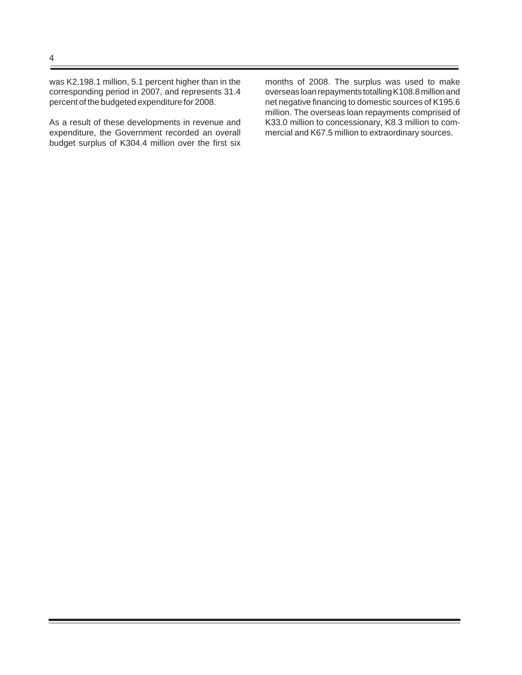was K2,198.1 million, 5.1 percent higher than in the corresponding period in 2007, and represents 31.4 percent of the budgeted expenditure for 2008.

As a result of these developments in revenue and expenditure, the Government recorded an overall budget surplus of K304.4 million over the first six months of 2008. The surplus was used to make overseas loan repayments totalling K108.8 million and net negative financing to domestic sources of K195.6 million. The overseas loan repayments comprised of K33.0 million to concessionary, K8.3 million to commercial and K67.5 million to extraordinary sources.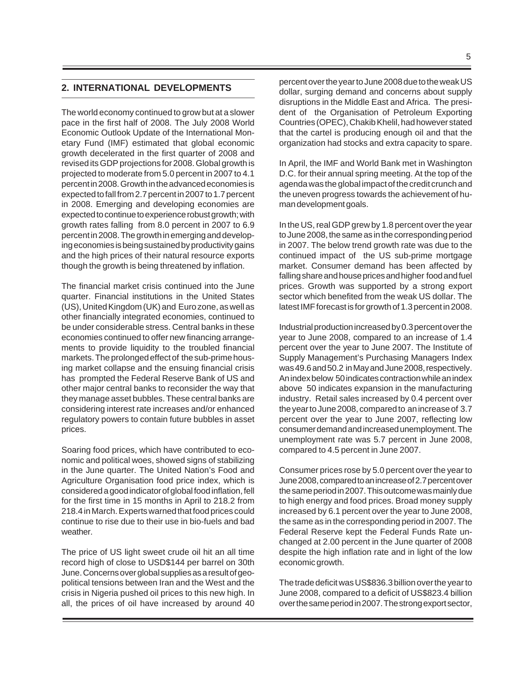## **2. INTERNATIONAL DEVELOPMENTS**

The world economy continued to grow but at a slower pace in the first half of 2008. The July 2008 World Economic Outlook Update of the International Monetary Fund (IMF) estimated that global economic growth decelerated in the first quarter of 2008 and revised its GDP projections for 2008. Global growth is projected to moderate from 5.0 percent in 2007 to 4.1 percent in 2008. Growth in the advanced economies is expected to fall from 2.7 percent in 2007 to 1.7 percent in 2008. Emerging and developing economies are expected to continue to experience robust growth; with growth rates falling from 8.0 percent in 2007 to 6.9 percent in 2008. The growth in emerging and developing economies is being sustained by productivity gains and the high prices of their natural resource exports though the growth is being threatened by inflation.

The financial market crisis continued into the June quarter. Financial institutions in the United States (US), United Kingdom (UK) and Euro zone, as well as other financially integrated economies, continued to be under considerable stress. Central banks in these economies continued to offer new financing arrangements to provide liquidity to the troubled financial markets. The prolonged effect of the sub-prime housing market collapse and the ensuing financial crisis has prompted the Federal Reserve Bank of US and other major central banks to reconsider the way that they manage asset bubbles. These central banks are considering interest rate increases and/or enhanced regulatory powers to contain future bubbles in asset prices.

Soaring food prices, which have contributed to economic and political woes, showed signs of stabilizing in the June quarter. The United Nation's Food and Agriculture Organisation food price index, which is considered a good indicator of global food inflation, fell for the first time in 15 months in April to 218.2 from 218.4 in March. Experts warned that food prices could continue to rise due to their use in bio-fuels and bad weather.

The price of US light sweet crude oil hit an all time record high of close to USD\$144 per barrel on 30th June. Concerns over global supplies as a result of geopolitical tensions between Iran and the West and the crisis in Nigeria pushed oil prices to this new high. In all, the prices of oil have increased by around 40 percent over the year to June 2008 due to the weak US dollar, surging demand and concerns about supply disruptions in the Middle East and Africa. The president of the Organisation of Petroleum Exporting Countries (OPEC), Chakib Khelil, had however stated that the cartel is producing enough oil and that the organization had stocks and extra capacity to spare.

In April, the IMF and World Bank met in Washington D.C. for their annual spring meeting. At the top of the agenda was the global impact of the credit crunch and the uneven progress towards the achievement of human development goals.

In the US, real GDP grew by 1.8 percent over the year to June 2008, the same as in the corresponding period in 2007. The below trend growth rate was due to the continued impact of the US sub-prime mortgage market. Consumer demand has been affected by falling share and house prices and higher food and fuel prices. Growth was supported by a strong export sector which benefited from the weak US dollar. The latest IMF forecast is for growth of 1.3 percent in 2008.

Industrial production increased by 0.3 percent over the year to June 2008, compared to an increase of 1.4 percent over the year to June 2007. The Institute of Supply Management's Purchasing Managers Index was 49.6 and 50.2 in May and June 2008, respectively. An index below 50 indicates contraction while an index above 50 indicates expansion in the manufacturing industry. Retail sales increased by 0.4 percent over the year to June 2008, compared to an increase of 3.7 percent over the year to June 2007, reflecting low consumer demand and increased unemployment. The unemployment rate was 5.7 percent in June 2008, compared to 4.5 percent in June 2007.

Consumer prices rose by 5.0 percent over the year to June 2008, compared to an increase of 2.7 percent over the same period in 2007. This outcome was mainly due to high energy and food prices. Broad money supply increased by 6.1 percent over the year to June 2008, the same as in the corresponding period in 2007. The Federal Reserve kept the Federal Funds Rate unchanged at 2.00 percent in the June quarter of 2008 despite the high inflation rate and in light of the low economic growth.

The trade deficit was US\$836.3 billion over the year to June 2008, compared to a deficit of US\$823.4 billion over the same period in 2007. The strong export sector,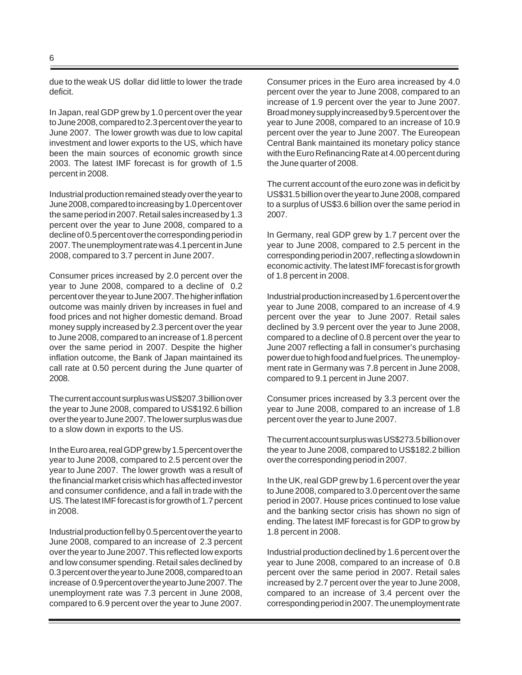due to the weak US dollar did little to lower the trade deficit.

In Japan, real GDP grew by 1.0 percent over the year to June 2008, compared to 2.3 percent over the year to June 2007. The lower growth was due to low capital investment and lower exports to the US, which have been the main sources of economic growth since 2003. The latest IMF forecast is for growth of 1.5 percent in 2008.

Industrial production remained steady over the year to June 2008, compared to increasing by 1.0 percent over the same period in 2007. Retail sales increased by 1.3 percent over the year to June 2008, compared to a decline of 0.5 percent over the corresponding period in 2007. The unemployment rate was 4.1 percent in June 2008, compared to 3.7 percent in June 2007.

Consumer prices increased by 2.0 percent over the year to June 2008, compared to a decline of 0.2 percent over the year to June 2007. The higher inflation outcome was mainly driven by increases in fuel and food prices and not higher domestic demand. Broad money supply increased by 2.3 percent over the year to June 2008, compared to an increase of 1.8 percent over the same period in 2007. Despite the higher inflation outcome, the Bank of Japan maintained its call rate at 0.50 percent during the June quarter of 2008.

The current account surplus was US\$207.3 billion over the year to June 2008, compared to US\$192.6 billion over the year to June 2007. The lower surplus was due to a slow down in exports to the US.

In the Euro area, real GDP grew by 1.5 percent over the year to June 2008, compared to 2.5 percent over the year to June 2007. The lower growth was a result of the financial market crisis which has affected investor and consumer confidence, and a fall in trade with the US. The latest IMF forecast is for growth of 1.7 percent in 2008.

Industrial production fell by 0.5 percent over the year to June 2008, compared to an increase of 2.3 percent over the year to June 2007. This reflected low exports and low consumer spending. Retail sales declined by 0.3 percent over the year to June 2008, compared to an increase of 0.9 percent over the year to June 2007. The unemployment rate was 7.3 percent in June 2008, compared to 6.9 percent over the year to June 2007. Consumer prices in the Euro area increased by 4.0 percent over the year to June 2008, compared to an increase of 1.9 percent over the year to June 2007. Broad money supply increased by 9.5 percent over the year to June 2008, compared to an increase of 10.9 percent over the year to June 2007. The Eureopean Central Bank maintained its monetary policy stance with the Euro Refinancing Rate at 4.00 percent during the June quarter of 2008.

The current account of the euro zone was in deficit by US\$31.5 billion over the year to June 2008, compared to a surplus of US\$3.6 billion over the same period in 2007.

In Germany, real GDP grew by 1.7 percent over the year to June 2008, compared to 2.5 percent in the corresponding period in 2007, reflecting a slowdown in economic activity. The latest IMF forecast is for growth of 1.8 percent in 2008.

Industrial production increased by 1.6 percent over the year to June 2008, compared to an increase of 4.9 percent over the year to June 2007. Retail sales declined by 3.9 percent over the year to June 2008, compared to a decline of 0.8 percent over the year to June 2007 reflecting a fall in consumer's purchasing power due to high food and fuel prices. The unemployment rate in Germany was 7.8 percent in June 2008, compared to 9.1 percent in June 2007.

Consumer prices increased by 3.3 percent over the year to June 2008, compared to an increase of 1.8 percent over the year to June 2007.

The current account surplus was US\$273.5 billion over the year to June 2008, compared to US\$182.2 billion over the corresponding period in 2007.

In the UK, real GDP grew by 1.6 percent over the year to June 2008, compared to 3.0 percent over the same period in 2007. House prices continued to lose value and the banking sector crisis has shown no sign of ending. The latest IMF forecast is for GDP to grow by 1.8 percent in 2008.

Industrial production declined by 1.6 percent over the year to June 2008, compared to an increase of 0.8 percent over the same period in 2007. Retail sales increased by 2.7 percent over the year to June 2008, compared to an increase of 3.4 percent over the corresponding period in 2007. The unemployment rate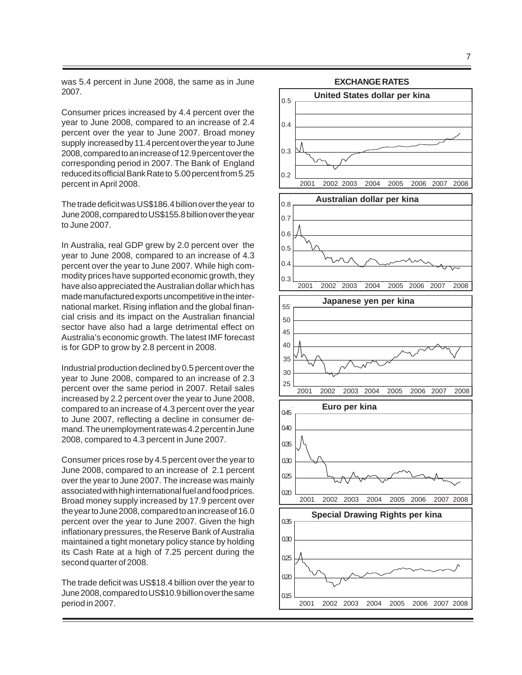was 5.4 percent in June 2008, the same as in June 2007.

Consumer prices increased by 4.4 percent over the year to June 2008, compared to an increase of 2.4 percent over the year to June 2007. Broad money supply increased by 11.4 percent over the year to June 2008, compared to an increase of 12.9 percent over the corresponding period in 2007. The Bank of England reduced its official Bank Rate to 5.00 percent from 5.25 percent in April 2008.

The trade deficit was US\$186.4 billion over the year to June 2008, compared to US\$155.8 billion over the year to June 2007.

In Australia, real GDP grew by 2.0 percent over the year to June 2008, compared to an increase of 4.3 percent over the year to June 2007. While high commodity prices have supported economic growth, they have also appreciated the Australian dollar which has made manufactured exports uncompetitive in the international market. Rising inflation and the global financial crisis and its impact on the Australian financial sector have also had a large detrimental effect on Australia's economic growth. The latest IMF forecast is for GDP to grow by 2.8 percent in 2008.

Industrial production declined by 0.5 percent over the year to June 2008, compared to an increase of 2.3 percent over the same period in 2007. Retail sales increased by 2.2 percent over the year to June 2008, compared to an increase of 4.3 percent over the year to June 2007, reflecting a decline in consumer demand. The unemployment rate was 4.2 percent in June 2008, compared to 4.3 percent in June 2007.

Consumer prices rose by 4.5 percent over the year to June 2008, compared to an increase of 2.1 percent over the year to June 2007. The increase was mainly associated with high international fuel and food prices. Broad money supply increased by 17.9 percent over the year to June 2008, compared to an increase of 16.0 percent over the year to June 2007. Given the high inflationary pressures, the Reserve Bank of Australia maintained a tight monetary policy stance by holding its Cash Rate at a high of 7.25 percent during the second quarter of 2008.

The trade deficit was US\$18.4 billion over the year to June 2008, compared to US\$10.9 billion over the same period in 2007.

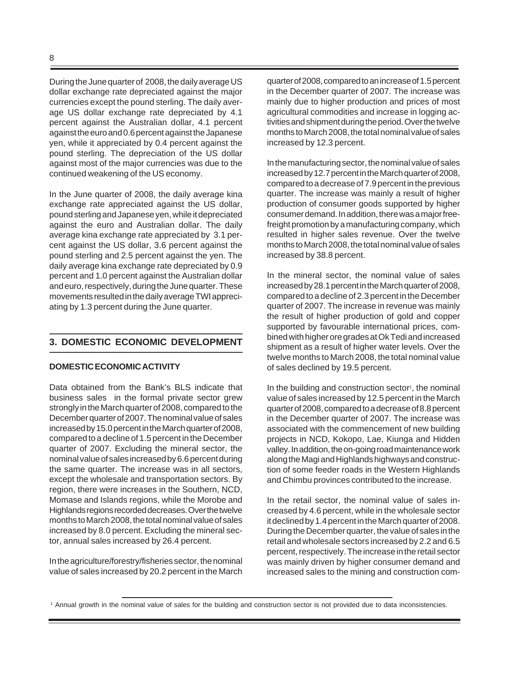During the June quarter of 2008, the daily average US dollar exchange rate depreciated against the major currencies except the pound sterling. The daily average US dollar exchange rate depreciated by 4.1 percent against the Australian dollar, 4.1 percent against the euro and 0.6 percent against the Japanese yen, while it appreciated by 0.4 percent against the pound sterling. The depreciation of the US dollar against most of the major currencies was due to the continued weakening of the US economy.

In the June quarter of 2008, the daily average kina exchange rate appreciated against the US dollar, pound sterling and Japanese yen, while it depreciated against the euro and Australian dollar. The daily average kina exchange rate appreciated by 3.1 percent against the US dollar, 3.6 percent against the pound sterling and 2.5 percent against the yen. The daily average kina exchange rate depreciated by 0.9 percent and 1.0 percent against the Australian dollar and euro, respectively, during the June quarter. These movements resulted in the daily average TWI appreciating by 1.3 percent during the June quarter.

## **3. DOMESTIC ECONOMIC DEVELOPMENT**

#### **DOMESTIC ECONOMIC ACTIVITY**

Data obtained from the Bank's BLS indicate that business sales in the formal private sector grew strongly in the March quarter of 2008, compared to the December quarter of 2007. The nominal value of sales increased by 15.0 percent in the March quarter of 2008, compared to a decline of 1.5 percent in the December quarter of 2007. Excluding the mineral sector, the nominal value of sales increased by 6.6 percent during the same quarter. The increase was in all sectors, except the wholesale and transportation sectors. By region, there were increases in the Southern, NCD, Momase and Islands regions, while the Morobe and Highlands regions recorded decreases. Over the twelve months to March 2008, the total nominal value of sales increased by 8.0 percent. Excluding the mineral sector, annual sales increased by 26.4 percent.

In the agriculture/forestry/fisheries sector, the nominal value of sales increased by 20.2 percent in the March

quarter of 2008, compared to an increase of 1.5 percent in the December quarter of 2007. The increase was mainly due to higher production and prices of most agricultural commodities and increase in logging activities and shipment during the period. Over the twelve months to March 2008, the total nominal value of sales increased by 12.3 percent.

In the manufacturing sector, the nominal value of sales increased by 12.7 percent in the March quarter of 2008, compared to a decrease of 7.9 percent in the previous quarter. The increase was mainly a result of higher production of consumer goods supported by higher consumer demand. In addition, there was a major freefreight promotion by a manufacturing company, which resulted in higher sales revenue. Over the twelve months to March 2008, the total nominal value of sales increased by 38.8 percent.

In the mineral sector, the nominal value of sales increased by 28.1 percent in the March quarter of 2008, compared to a decline of 2.3 percent in the December quarter of 2007. The increase in revenue was mainly the result of higher production of gold and copper supported by favourable international prices, combined with higher ore grades at Ok Tedi and increased shipment as a result of higher water levels. Over the twelve months to March 2008, the total nominal value of sales declined by 19.5 percent.

In the building and construction sector<sup>1</sup>, the nominal value of sales increased by 12.5 percent in the March quarter of 2008, compared to a decrease of 8.8 percent in the December quarter of 2007. The increase was associated with the commencement of new building projects in NCD, Kokopo, Lae, Kiunga and Hidden valley. In addition, the on-going road maintenance work along the Magi and Highlands highways and construction of some feeder roads in the Western Highlands and Chimbu provinces contributed to the increase.

In the retail sector, the nominal value of sales increased by 4.6 percent, while in the wholesale sector it declined by 1.4 percent in the March quarter of 2008. During the December quarter, the value of sales in the retail and wholesale sectors increased by 2.2 and 6.5 percent, respectively. The increase in the retail sector was mainly driven by higher consumer demand and increased sales to the mining and construction com-

<sup>1</sup> Annual growth in the nominal value of sales for the building and construction sector is not provided due to data inconsistencies.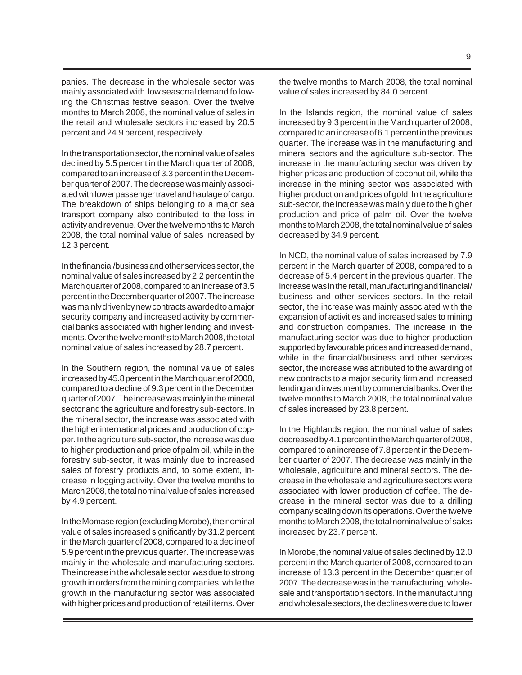panies. The decrease in the wholesale sector was mainly associated with low seasonal demand following the Christmas festive season. Over the twelve months to March 2008, the nominal value of sales in the retail and wholesale sectors increased by 20.5 percent and 24.9 percent, respectively.

In the transportation sector, the nominal value of sales declined by 5.5 percent in the March quarter of 2008, compared to an increase of 3.3 percent in the December quarter of 2007. The decrease was mainly associated with lower passenger travel and haulage of cargo. The breakdown of ships belonging to a major sea transport company also contributed to the loss in activity and revenue. Over the twelve months to March 2008, the total nominal value of sales increased by 12.3 percent.

In the financial/business and other services sector, the nominal value of sales increased by 2.2 percent in the March quarter of 2008, compared to an increase of 3.5 percent in the December quarter of 2007. The increase was mainly driven by new contracts awarded to a major security company and increased activity by commercial banks associated with higher lending and investments. Over the twelve months to March 2008, the total nominal value of sales increased by 28.7 percent.

In the Southern region, the nominal value of sales increased by 45.8 percent in the March quarter of 2008, compared to a decline of 9.3 percent in the December quarter of 2007. The increase was mainly in the mineral sector and the agriculture and forestry sub-sectors. In the mineral sector, the increase was associated with the higher international prices and production of copper. In the agriculture sub-sector, the increase was due to higher production and price of palm oil, while in the forestry sub-sector, it was mainly due to increased sales of forestry products and, to some extent, increase in logging activity. Over the twelve months to March 2008, the total nominal value of sales increased by 4.9 percent.

In the Momase region (excluding Morobe), the nominal value of sales increased significantly by 31.2 percent in the March quarter of 2008, compared to a decline of 5.9 percent in the previous quarter. The increase was mainly in the wholesale and manufacturing sectors. The increase in the wholesale sector was due to strong growth in orders from the mining companies, while the growth in the manufacturing sector was associated with higher prices and production of retail items. Over the twelve months to March 2008, the total nominal value of sales increased by 84.0 percent.

In the Islands region, the nominal value of sales increased by 9.3 percent in the March quarter of 2008, compared to an increase of 6.1 percent in the previous quarter. The increase was in the manufacturing and mineral sectors and the agriculture sub-sector. The increase in the manufacturing sector was driven by higher prices and production of coconut oil, while the increase in the mining sector was associated with higher production and prices of gold. In the agriculture sub-sector, the increase was mainly due to the higher production and price of palm oil. Over the twelve months to March 2008, the total nominal value of sales decreased by 34.9 percent.

In NCD, the nominal value of sales increased by 7.9 percent in the March quarter of 2008, compared to a decrease of 5.4 percent in the previous quarter. The increase was in the retail, manufacturing and financial/ business and other services sectors. In the retail sector, the increase was mainly associated with the expansion of activities and increased sales to mining and construction companies. The increase in the manufacturing sector was due to higher production supported by favourable prices and increased demand, while in the financial/business and other services sector, the increase was attributed to the awarding of new contracts to a major security firm and increased lending and investment by commercial banks. Over the twelve months to March 2008, the total nominal value of sales increased by 23.8 percent.

In the Highlands region, the nominal value of sales decreased by 4.1 percent in the March quarter of 2008, compared to an increase of 7.8 percent in the December quarter of 2007. The decrease was mainly in the wholesale, agriculture and mineral sectors. The decrease in the wholesale and agriculture sectors were associated with lower production of coffee. The decrease in the mineral sector was due to a drilling company scaling down its operations. Over the twelve months to March 2008, the total nominal value of sales increased by 23.7 percent.

In Morobe, the nominal value of sales declined by 12.0 percent in the March quarter of 2008, compared to an increase of 13.3 percent in the December quarter of 2007. The decrease was in the manufacturing, wholesale and transportation sectors. In the manufacturing and wholesale sectors, the declines were due to lower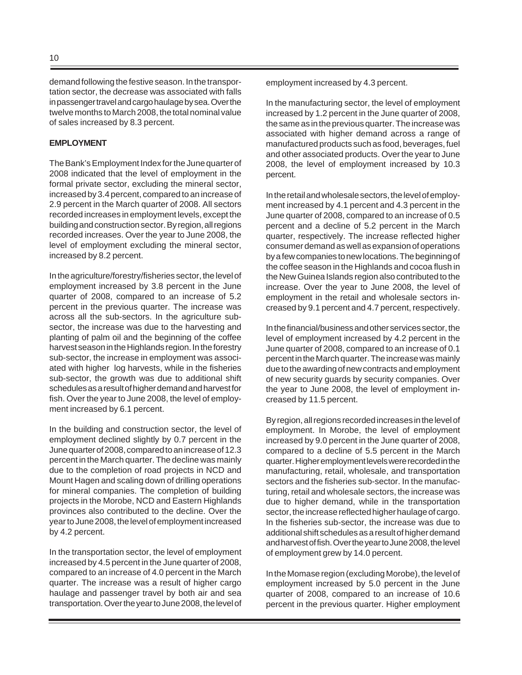demand following the festive season. In the transportation sector, the decrease was associated with falls in passenger travel and cargo haulage by sea. Over the twelve months to March 2008, the total nominal value of sales increased by 8.3 percent.

#### **EMPLOYMENT**

The Bank's Employment Index for the June quarter of 2008 indicated that the level of employment in the formal private sector, excluding the mineral sector, increased by 3.4 percent, compared to an increase of 2.9 percent in the March quarter of 2008. All sectors recorded increases in employment levels, except the building and construction sector. By region, all regions recorded increases. Over the year to June 2008, the level of employment excluding the mineral sector, increased by 8.2 percent.

In the agriculture/forestry/fisheries sector, the level of employment increased by 3.8 percent in the June quarter of 2008, compared to an increase of 5.2 percent in the previous quarter. The increase was across all the sub-sectors. In the agriculture subsector, the increase was due to the harvesting and planting of palm oil and the beginning of the coffee harvest season in the Highlands region. In the forestry sub-sector, the increase in employment was associated with higher log harvests, while in the fisheries sub-sector, the growth was due to additional shift schedules as a result of higher demand and harvest for fish. Over the year to June 2008, the level of employment increased by 6.1 percent.

In the building and construction sector, the level of employment declined slightly by 0.7 percent in the June quarter of 2008, compared to an increase of 12.3 percent in the March quarter. The decline was mainly due to the completion of road projects in NCD and Mount Hagen and scaling down of drilling operations for mineral companies. The completion of building projects in the Morobe, NCD and Eastern Highlands provinces also contributed to the decline. Over the year to June 2008, the level of employment increased by 4.2 percent.

In the transportation sector, the level of employment increased by 4.5 percent in the June quarter of 2008, compared to an increase of 4.0 percent in the March quarter. The increase was a result of higher cargo haulage and passenger travel by both air and sea transportation. Over the year to June 2008, the level of employment increased by 4.3 percent.

In the manufacturing sector, the level of employment increased by 1.2 percent in the June quarter of 2008, the same as in the previous quarter. The increase was associated with higher demand across a range of manufactured products such as food, beverages, fuel and other associated products. Over the year to June 2008, the level of employment increased by 10.3 percent.

In the retail and wholesale sectors, the level of employment increased by 4.1 percent and 4.3 percent in the June quarter of 2008, compared to an increase of 0.5 percent and a decline of 5.2 percent in the March quarter, respectively. The increase reflected higher consumer demand as well as expansion of operations by a few companies to new locations. The beginning of the coffee season in the Highlands and cocoa flush in the New Guinea Islands region also contributed to the increase. Over the year to June 2008, the level of employment in the retail and wholesale sectors increased by 9.1 percent and 4.7 percent, respectively.

In the financial/business and other services sector, the level of employment increased by 4.2 percent in the June quarter of 2008, compared to an increase of 0.1 percent in the March quarter. The increase was mainly due to the awarding of new contracts and employment of new security guards by security companies. Over the year to June 2008, the level of employment increased by 11.5 percent.

By region, all regions recorded increases in the level of employment. In Morobe, the level of employment increased by 9.0 percent in the June quarter of 2008, compared to a decline of 5.5 percent in the March quarter. Higher employment levels were recorded in the manufacturing, retail, wholesale, and transportation sectors and the fisheries sub-sector. In the manufacturing, retail and wholesale sectors, the increase was due to higher demand, while in the transportation sector, the increase reflected higher haulage of cargo. In the fisheries sub-sector, the increase was due to additional shift schedules as a result of higher demand and harvest of fish. Over the year to June 2008, the level of employment grew by 14.0 percent.

In the Momase region (excluding Morobe), the level of employment increased by 5.0 percent in the June quarter of 2008, compared to an increase of 10.6 percent in the previous quarter. Higher employment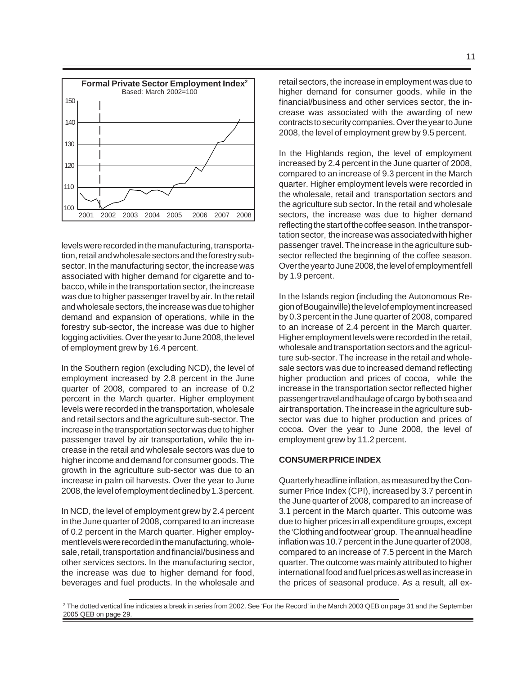

levels were recorded in the manufacturing, transportation, retail and wholesale sectors and the forestry subsector. In the manufacturing sector, the increase was associated with higher demand for cigarette and tobacco, while in the transportation sector, the increase was due to higher passenger travel by air. In the retail and wholesale sectors, the increase was due to higher demand and expansion of operations, while in the forestry sub-sector, the increase was due to higher logging activities. Over the year to June 2008, the level of employment grew by 16.4 percent.

In the Southern region (excluding NCD), the level of employment increased by 2.8 percent in the June quarter of 2008, compared to an increase of 0.2 percent in the March quarter. Higher employment levels were recorded in the transportation, wholesale and retail sectors and the agriculture sub-sector. The increase in the transportation sector was due to higher passenger travel by air transportation, while the increase in the retail and wholesale sectors was due to higher income and demand for consumer goods. The growth in the agriculture sub-sector was due to an increase in palm oil harvests. Over the year to June 2008, the level of employment declined by 1.3 percent.

In NCD, the level of employment grew by 2.4 percent in the June quarter of 2008, compared to an increase of 0.2 percent in the March quarter. Higher employment levels were recorded in the manufacturing, wholesale, retail, transportation and financial/business and other services sectors. In the manufacturing sector, the increase was due to higher demand for food, beverages and fuel products. In the wholesale and

retail sectors, the increase in employment was due to higher demand for consumer goods, while in the financial/business and other services sector, the increase was associated with the awarding of new contracts to security companies. Over the year to June 2008, the level of employment grew by 9.5 percent.

In the Highlands region, the level of employment increased by 2.4 percent in the June quarter of 2008, compared to an increase of 9.3 percent in the March quarter. Higher employment levels were recorded in the wholesale, retail and transportation sectors and the agriculture sub sector. In the retail and wholesale sectors, the increase was due to higher demand reflecting the start of the coffee season. In the transportation sector, the increase was associated with higher passenger travel. The increase in the agriculture subsector reflected the beginning of the coffee season. Over the year to June 2008, the level of employment fell by 1.9 percent.

In the Islands region (including the Autonomous Region of Bougainville) the level of employment increased by 0.3 percent in the June quarter of 2008, compared to an increase of 2.4 percent in the March quarter. Higher employment levels were recorded in the retail, wholesale and transportation sectors and the agriculture sub-sector. The increase in the retail and wholesale sectors was due to increased demand reflecting higher production and prices of cocoa, while the increase in the transportation sector reflected higher passenger travel and haulage of cargo by both sea and air transportation. The increase in the agriculture subsector was due to higher production and prices of cocoa. Over the year to June 2008, the level of employment grew by 11.2 percent.

#### **CONSUMER PRICE INDEX**

Quarterly headline inflation, as measured by the Consumer Price Index (CPI), increased by 3.7 percent in the June quarter of 2008, compared to an increase of 3.1 percent in the March quarter. This outcome was due to higher prices in all expenditure groups, except the 'Clothing and footwear' group. The annual headline inflation was 10.7 percent in the June quarter of 2008, compared to an increase of 7.5 percent in the March quarter. The outcome was mainly attributed to higher international food and fuel prices as well as increase in the prices of seasonal produce. As a result, all ex-

 $^2$  The dotted vertical line indicates a break in series from 2002. See 'For the Record' in the March 2003 QEB on page 31 and the September 2005 QEB on page 29.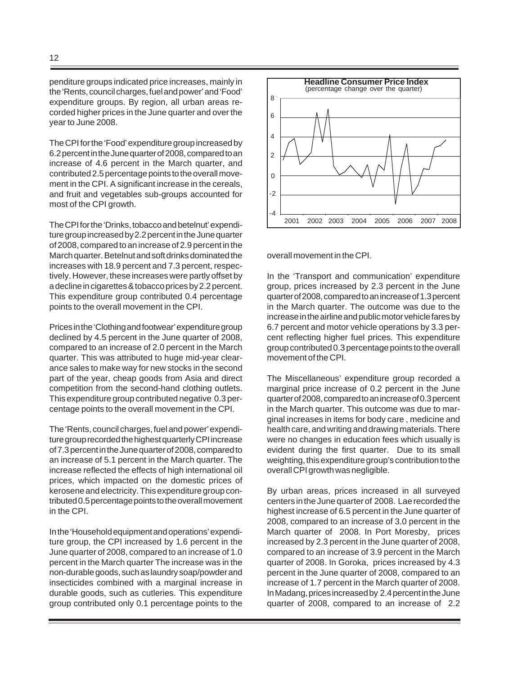penditure groups indicated price increases, mainly in the 'Rents, council charges, fuel and power' and 'Food' expenditure groups. By region, all urban areas recorded higher prices in the June quarter and over the year to June 2008.

The CPI for the 'Food' expenditure group increased by 6.2 percent in the June quarter of 2008, compared to an increase of 4.6 percent in the March quarter, and contributed 2.5 percentage points to the overall movement in the CPI. A significant increase in the cereals, and fruit and vegetables sub-groups accounted for most of the CPI growth.

The CPI for the 'Drinks, tobacco and betelnut' expenditure group increased by 2.2 percent in the June quarter of 2008, compared to an increase of 2.9 percent in the March quarter. Betelnut and soft drinks dominated the increases with 18.9 percent and 7.3 percent, respectively. However, these increases were partly offset by a decline in cigarettes & tobacco prices by 2.2 percent. This expenditure group contributed 0.4 percentage points to the overall movement in the CPI.

Prices in the 'Clothing and footwear' expenditure group declined by 4.5 percent in the June quarter of 2008, compared to an increase of 2.0 percent in the March quarter. This was attributed to huge mid-year clearance sales to make way for new stocks in the second part of the year, cheap goods from Asia and direct competition from the second-hand clothing outlets. This expenditure group contributed negative 0.3 percentage points to the overall movement in the CPI.

The 'Rents, council charges, fuel and power' expenditure group recorded the highest quarterly CPI increase of 7.3 percent in the June quarter of 2008, compared to an increase of 5.1 percent in the March quarter. The increase reflected the effects of high international oil prices, which impacted on the domestic prices of kerosene and electricity. This expenditure group contributed 0.5 percentage points to the overall movement in the CPI.

In the 'Household equipment and operations' expenditure group, the CPI increased by 1.6 percent in the June quarter of 2008, compared to an increase of 1.0 percent in the March quarter The increase was in the non-durable goods, such as laundry soap/powder and insecticides combined with a marginal increase in durable goods, such as cutleries. This expenditure group contributed only 0.1 percentage points to the



overall movement in the CPI.

In the 'Transport and communication' expenditure group, prices increased by 2.3 percent in the June quarter of 2008, compared to an increase of 1.3 percent in the March quarter. The outcome was due to the increase in the airline and public motor vehicle fares by 6.7 percent and motor vehicle operations by 3.3 percent reflecting higher fuel prices. This expenditure group contributed 0.3 percentage points to the overall movement of the CPI.

The Miscellaneous' expenditure group recorded a marginal price increase of 0.2 percent in the June quarter of 2008, compared to an increase of 0.3 percent in the March quarter. This outcome was due to marginal increases in items for body care , medicine and health care, and writing and drawing materials. There were no changes in education fees which usually is evident during the first quarter. Due to its small weighting, this expenditure group's contribution to the overall CPI growth was negligible.

By urban areas, prices increased in all surveyed centers in the June quarter of 2008. Lae recorded the highest increase of 6.5 percent in the June quarter of 2008, compared to an increase of 3.0 percent in the March quarter of 2008. In Port Moresby, prices increased by 2.3 percent in the June quarter of 2008, compared to an increase of 3.9 percent in the March quarter of 2008. In Goroka, prices increased by 4.3 percent in the June quarter of 2008, compared to an increase of 1.7 percent in the March quarter of 2008. In Madang, prices increased by 2.4 percent in the June quarter of 2008, compared to an increase of 2.2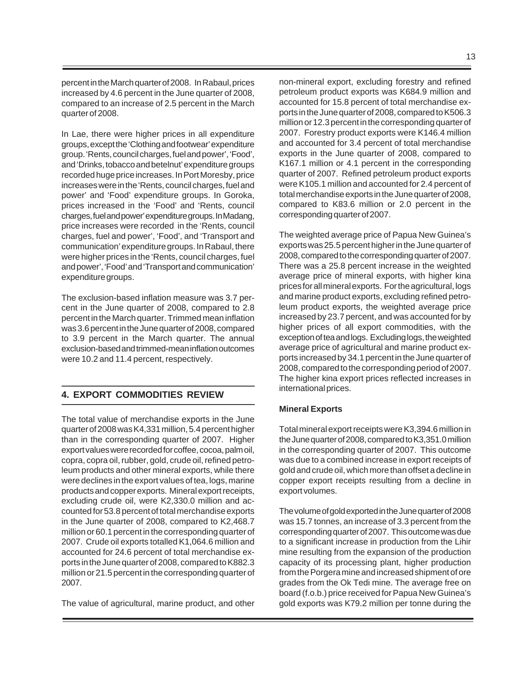percent in the March quarter of 2008. In Rabaul, prices increased by 4.6 percent in the June quarter of 2008, compared to an increase of 2.5 percent in the March quarter of 2008.

In Lae, there were higher prices in all expenditure groups, except the 'Clothing and footwear' expenditure group. 'Rents, council charges, fuel and power', 'Food', and 'Drinks, tobacco and betelnut' expenditure groups recorded huge price increases. In Port Moresby, price increases were in the 'Rents, council charges, fuel and power' and 'Food' expenditure groups. In Goroka, prices increased in the 'Food' and 'Rents, council charges, fuel and power' expenditure groups. In Madang, price increases were recorded in the 'Rents, council charges, fuel and power', 'Food', and 'Transport and communication' expenditure groups. In Rabaul, there were higher prices in the 'Rents, council charges, fuel and power', 'Food' and 'Transport and communication' expenditure groups.

The exclusion-based inflation measure was 3.7 percent in the June quarter of 2008, compared to 2.8 percent in the March quarter. Trimmed mean inflation was 3.6 percent in the June quarter of 2008, compared to 3.9 percent in the March quarter. The annual exclusion-based and trimmed-mean inflation outcomes were 10.2 and 11.4 percent, respectively.

# **4. EXPORT COMMODITIES REVIEW**

The total value of merchandise exports in the June quarter of 2008 was K4,331 million, 5.4 percent higher than in the corresponding quarter of 2007. Higher export values were recorded for coffee, cocoa, palm oil, copra, copra oil, rubber, gold, crude oil, refined petroleum products and other mineral exports, while there were declines in the export values of tea, logs, marine products and copper exports. Mineral export receipts, excluding crude oil, were K2,330.0 million and accounted for 53.8 percent of total merchandise exports in the June quarter of 2008, compared to K2,468.7 million or 60.1 percent in the corresponding quarter of 2007. Crude oil exports totalled K1,064.6 million and accounted for 24.6 percent of total merchandise exports in the June quarter of 2008, compared to K882.3 million or 21.5 percent in the corresponding quarter of 2007.

The value of agricultural, marine product, and other

non-mineral export, excluding forestry and refined petroleum product exports was K684.9 million and accounted for 15.8 percent of total merchandise exports in the June quarter of 2008, compared to K506.3 million or 12.3 percent in the corresponding quarter of 2007. Forestry product exports were K146.4 million and accounted for 3.4 percent of total merchandise exports in the June quarter of 2008, compared to K167.1 million or 4.1 percent in the corresponding quarter of 2007. Refined petroleum product exports were K105.1 million and accounted for 2.4 percent of total merchandise exports in the June quarter of 2008, compared to K83.6 million or 2.0 percent in the corresponding quarter of 2007.

The weighted average price of Papua New Guinea's exports was 25.5 percent higher in the June quarter of 2008, compared to the corresponding quarter of 2007. There was a 25.8 percent increase in the weighted average price of mineral exports, with higher kina prices for all mineral exports. For the agricultural, logs and marine product exports, excluding refined petroleum product exports, the weighted average price increased by 23.7 percent, and was accounted for by higher prices of all export commodities, with the exception of tea and logs. Excluding logs, the weighted average price of agricultural and marine product exports increased by 34.1 percent in the June quarter of 2008, compared to the corresponding period of 2007. The higher kina export prices reflected increases in international prices.

## **Mineral Exports**

Total mineral export receipts were K3,394.6 million in the June quarter of 2008, compared to K3,351.0 million in the corresponding quarter of 2007. This outcome was due to a combined increase in export receipts of gold and crude oil, which more than offset a decline in copper export receipts resulting from a decline in export volumes.

The volume of gold exported in the June quarter of 2008 was 15.7 tonnes, an increase of 3.3 percent from the corresponding quarter of 2007. This outcome was due to a significant increase in production from the Lihir mine resulting from the expansion of the production capacity of its processing plant, higher production from the Porgera mine and increased shipment of ore grades from the Ok Tedi mine. The average free on board (f.o.b.) price received for Papua New Guinea's gold exports was K79.2 million per tonne during the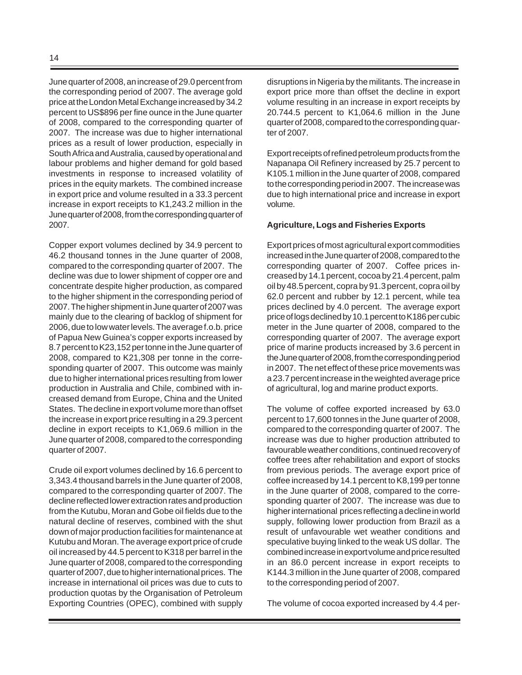June quarter of 2008, an increase of 29.0 percent from the corresponding period of 2007. The average gold price at the London Metal Exchange increased by 34.2 percent to US\$896 per fine ounce in the June quarter of 2008, compared to the corresponding quarter of 2007. The increase was due to higher international prices as a result of lower production, especially in South Africa and Australia, caused by operational and labour problems and higher demand for gold based investments in response to increased volatility of prices in the equity markets. The combined increase in export price and volume resulted in a 33.3 percent increase in export receipts to K1,243.2 million in the June quarter of 2008, from the corresponding quarter of 2007.

Copper export volumes declined by 34.9 percent to 46.2 thousand tonnes in the June quarter of 2008, compared to the corresponding quarter of 2007. The decline was due to lower shipment of copper ore and concentrate despite higher production, as compared to the higher shipment in the corresponding period of 2007. The higher shipment in June quarter of 2007 was mainly due to the clearing of backlog of shipment for 2006, due to low water levels. The average f.o.b. price of Papua New Guinea's copper exports increased by 8.7 percent to K23,152 per tonne in the June quarter of 2008, compared to K21,308 per tonne in the corresponding quarter of 2007. This outcome was mainly due to higher international prices resulting from lower production in Australia and Chile, combined with increased demand from Europe, China and the United States. The decline in export volume more than offset the increase in export price resulting in a 29.3 percent decline in export receipts to K1,069.6 million in the June quarter of 2008, compared to the corresponding quarter of 2007.

Crude oil export volumes declined by 16.6 percent to 3,343.4 thousand barrels in the June quarter of 2008, compared to the corresponding quarter of 2007. The decline reflected lower extraction rates and production from the Kutubu, Moran and Gobe oil fields due to the natural decline of reserves, combined with the shut down of major production facilities for maintenance at Kutubu and Moran. The average export price of crude oil increased by 44.5 percent to K318 per barrel in the June quarter of 2008, compared to the corresponding quarter of 2007, due to higher international prices. The increase in international oil prices was due to cuts to production quotas by the Organisation of Petroleum Exporting Countries (OPEC), combined with supply disruptions in Nigeria by the militants. The increase in export price more than offset the decline in export volume resulting in an increase in export receipts by 20.744.5 percent to K1,064.6 million in the June quarter of 2008, compared to the corresponding quarter of 2007.

Export receipts of refined petroleum products from the Napanapa Oil Refinery increased by 25.7 percent to K105.1 million in the June quarter of 2008, compared to the corresponding period in 2007. The increase was due to high international price and increase in export volume.

## **Agriculture, Logs and Fisheries Exports**

Export prices of most agricultural export commodities increased in the June quarter of 2008, compared to the corresponding quarter of 2007. Coffee prices increased by 14.1 percent, cocoa by 21.4 percent, palm oil by 48.5 percent, copra by 91.3 percent, copra oil by 62.0 percent and rubber by 12.1 percent, while tea prices declined by 4.0 percent. The average export price of logs declined by 10.1 percent to K186 per cubic meter in the June quarter of 2008, compared to the corresponding quarter of 2007. The average export price of marine products increased by 3.6 percent in the June quarter of 2008, from the corresponding period in 2007. The net effect of these price movements was a 23.7 percent increase in the weighted average price of agricultural, log and marine product exports.

The volume of coffee exported increased by 63.0 percent to 17,600 tonnes in the June quarter of 2008, compared to the corresponding quarter of 2007. The increase was due to higher production attributed to favourable weather conditions, continued recovery of coffee trees after rehabilitation and export of stocks from previous periods. The average export price of coffee increased by 14.1 percent to K8,199 per tonne in the June quarter of 2008, compared to the corresponding quarter of 2007. The increase was due to higher international prices reflecting a decline in world supply, following lower production from Brazil as a result of unfavourable wet weather conditions and speculative buying linked to the weak US dollar. The combined increase in export volume and price resulted in an 86.0 percent increase in export receipts to K144.3 million in the June quarter of 2008, compared to the corresponding period of 2007.

The volume of cocoa exported increased by 4.4 per-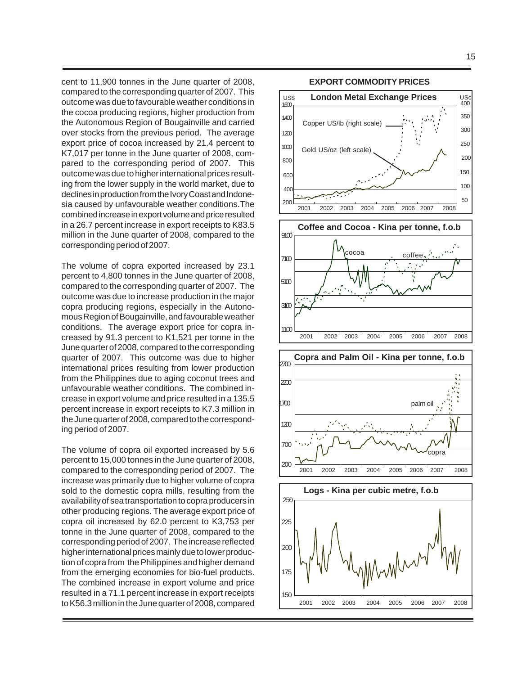cent to 11,900 tonnes in the June quarter of 2008, compared to the corresponding quarter of 2007. This outcome was due to favourable weather conditions in the cocoa producing regions, higher production from the Autonomous Region of Bougainville and carried over stocks from the previous period. The average export price of cocoa increased by 21.4 percent to K7,017 per tonne in the June quarter of 2008, compared to the corresponding period of 2007. This outcome was due to higher international prices resulting from the lower supply in the world market, due to declines in production from the Ivory Coast and Indonesia caused by unfavourable weather conditions.The combined increase in export volume and price resulted in a 26.7 percent increase in export receipts to K83.5 million in the June quarter of 2008, compared to the corresponding period of 2007.

The volume of copra exported increased by 23.1 percent to 4,800 tonnes in the June quarter of 2008, compared to the corresponding quarter of 2007. The outcome was due to increase production in the major copra producing regions, especially in the Autonomous Region of Bougainville, and favourable weather conditions. The average export price for copra increased by 91.3 percent to K1,521 per tonne in the June quarter of 2008, compared to the corresponding quarter of 2007. This outcome was due to higher international prices resulting from lower production from the Philippines due to aging coconut trees and unfavourable weather conditions. The combined increase in export volume and price resulted in a 135.5 percent increase in export receipts to K7.3 million in the June quarter of 2008, compared to the corresponding period of 2007.

The volume of copra oil exported increased by 5.6 percent to 15,000 tonnes in the June quarter of 2008, compared to the corresponding period of 2007. The increase was primarily due to higher volume of copra sold to the domestic copra mills, resulting from the availability of sea transportation to copra producers in other producing regions. The average export price of copra oil increased by 62.0 percent to K3,753 per tonne in the June quarter of 2008, compared to the corresponding period of 2007. The increase reflected higher international prices mainly due to lower production of copra from the Philippines and higher demand from the emerging economies for bio-fuel products. The combined increase in export volume and price resulted in a 71.1 percent increase in export receipts to K56.3 million in the June quarter of 2008, compared

## **EXPORT COMMODITY PRICES**

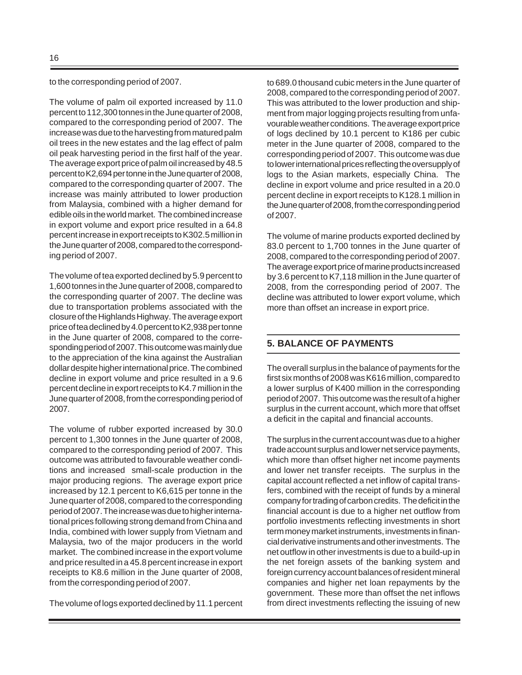to the corresponding period of 2007.

The volume of palm oil exported increased by 11.0 percent to 112,300 tonnes in the June quarter of 2008, compared to the corresponding period of 2007. The increase was due to the harvesting from matured palm oil trees in the new estates and the lag effect of palm oil peak harvesting period in the first half of the year. The average export price of palm oil increased by 48.5 percent to K2,694 per tonne in the June quarter of 2008, compared to the corresponding quarter of 2007. The increase was mainly attributed to lower production from Malaysia, combined with a higher demand for edible oils in the world market. The combined increase in export volume and export price resulted in a 64.8 percent increase in export receipts to K302.5 million in the June quarter of 2008, compared to the corresponding period of 2007.

The volume of tea exported declined by 5.9 percent to 1,600 tonnes in the June quarter of 2008, compared to the corresponding quarter of 2007. The decline was due to transportation problems associated with the closure of the Highlands Highway. The average export price of tea declined by 4.0 percent to K2,938 per tonne in the June quarter of 2008, compared to the corresponding period of 2007. This outcome was mainly due to the appreciation of the kina against the Australian dollar despite higher international price. The combined decline in export volume and price resulted in a 9.6 percent decline in export receipts to K4.7 million in the June quarter of 2008, from the corresponding period of 2007.

The volume of rubber exported increased by 30.0 percent to 1,300 tonnes in the June quarter of 2008, compared to the corresponding period of 2007. This outcome was attributed to favourable weather conditions and increased small-scale production in the major producing regions. The average export price increased by 12.1 percent to K6,615 per tonne in the June quarter of 2008, compared to the corresponding period of 2007. The increase was due to higher international prices following strong demand from China and India, combined with lower supply from Vietnam and Malaysia, two of the major producers in the world market. The combined increase in the export volume and price resulted in a 45.8 percent increase in export receipts to K8.6 million in the June quarter of 2008, from the corresponding period of 2007.

The volume of logs exported declined by 11.1 percent

to 689.0 thousand cubic meters in the June quarter of 2008, compared to the corresponding period of 2007. This was attributed to the lower production and shipment from major logging projects resulting from unfavourable weather conditions. The average export price of logs declined by 10.1 percent to K186 per cubic meter in the June quarter of 2008, compared to the corresponding period of 2007. This outcome was due to lower international prices reflecting the oversupply of logs to the Asian markets, especially China. The decline in export volume and price resulted in a 20.0 percent decline in export receipts to K128.1 million in the June quarter of 2008, from the corresponding period of 2007.

The volume of marine products exported declined by 83.0 percent to 1,700 tonnes in the June quarter of 2008, compared to the corresponding period of 2007. The average export price of marine products increased by 3.6 percent to K7,118 million in the June quarter of 2008, from the corresponding period of 2007. The decline was attributed to lower export volume, which more than offset an increase in export price.

## **5. BALANCE OF PAYMENTS**

The overall surplus in the balance of payments for the first six months of 2008 was K616 million, compared to a lower surplus of K400 million in the corresponding period of 2007. This outcome was the result of a higher surplus in the current account, which more that offset a deficit in the capital and financial accounts.

The surplus in the current account was due to a higher trade account surplus and lower net service payments, which more than offset higher net income payments and lower net transfer receipts. The surplus in the capital account reflected a net inflow of capital transfers, combined with the receipt of funds by a mineral company for trading of carbon credits. The deficit in the financial account is due to a higher net outflow from portfolio investments reflecting investments in short term money market instruments, investments in financial derivative instruments and other investments. The net outflow in other investments is due to a build-up in the net foreign assets of the banking system and foreign currency account balances of resident mineral companies and higher net loan repayments by the government. These more than offset the net inflows from direct investments reflecting the issuing of new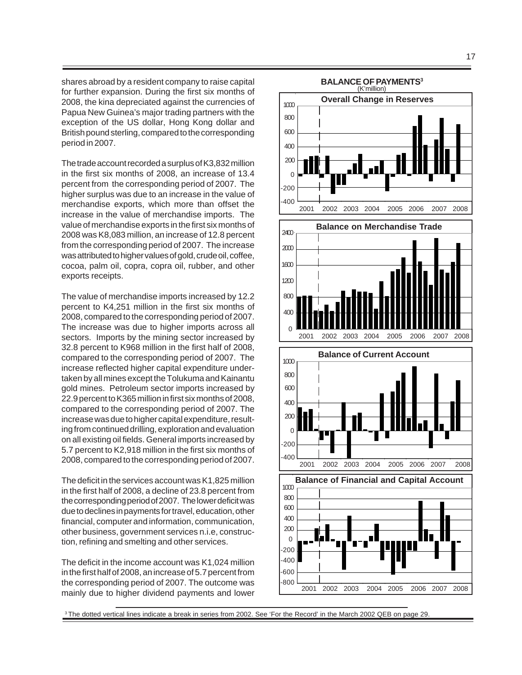shares abroad by a resident company to raise capital for further expansion. During the first six months of 2008, the kina depreciated against the currencies of Papua New Guinea's major trading partners with the exception of the US dollar, Hong Kong dollar and British pound sterling, compared to the corresponding period in 2007.

The trade account recorded a surplus of K3,832 million in the first six months of 2008, an increase of 13.4 percent from the corresponding period of 2007. The higher surplus was due to an increase in the value of merchandise exports, which more than offset the increase in the value of merchandise imports. The value of merchandise exports in the first six months of 2008 was K8,083 million, an increase of 12.8 percent from the corresponding period of 2007. The increase was attributed to higher values of gold, crude oil, coffee, cocoa, palm oil, copra, copra oil, rubber, and other exports receipts.

The value of merchandise imports increased by 12.2 percent to K4,251 million in the first six months of 2008, compared to the corresponding period of 2007. The increase was due to higher imports across all sectors. Imports by the mining sector increased by 32.8 percent to K968 million in the first half of 2008, compared to the corresponding period of 2007. The increase reflected higher capital expenditure undertaken by all mines except the Tolukuma and Kainantu gold mines. Petroleum sector imports increased by 22.9 percent to K365 million in first six months of 2008, compared to the corresponding period of 2007. The increase was due to higher capital expenditure, resulting from continued drilling, exploration and evaluation on all existing oil fields. General imports increased by 5.7 percent to K2,918 million in the first six months of 2008, compared to the corresponding period of 2007.

The deficit in the services account was K1,825 million in the first half of 2008, a decline of 23.8 percent from the corresponding period of 2007. The lower deficit was due to declines in payments for travel, education, other financial, computer and information, communication, other business, government services n.i.e, construction, refining and smelting and other services.

The deficit in the income account was K1,024 million in the first half of 2008, an increase of 5.7 percent from the corresponding period of 2007. The outcome was mainly due to higher dividend payments and lower



<sup>3</sup> The dotted vertical lines indicate a break in series from 2002. See 'For the Record' in the March 2002 QEB on page 29.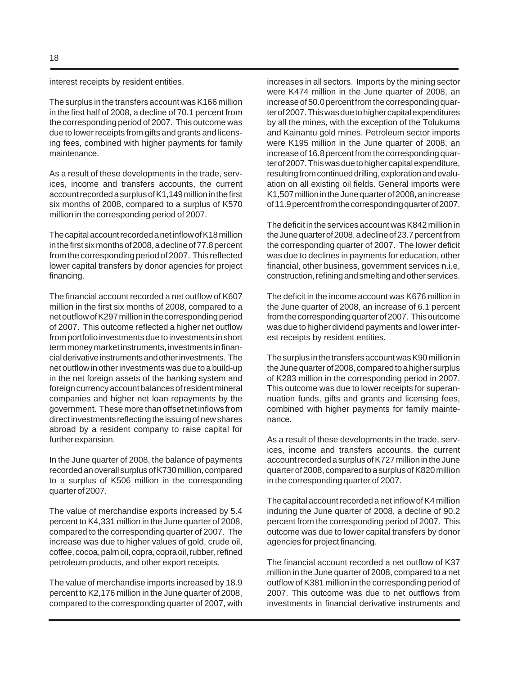interest receipts by resident entities.

The surplus in the transfers account was K166 million in the first half of 2008, a decline of 70.1 percent from the corresponding period of 2007. This outcome was due to lower receipts from gifts and grants and licensing fees, combined with higher payments for family maintenance.

As a result of these developments in the trade, services, income and transfers accounts, the current account recorded a surplus of K1,149 million in the first six months of 2008, compared to a surplus of K570 million in the corresponding period of 2007.

The capital account recorded a net inflow of K18 million in the first six months of 2008, a decline of 77.8 percent from the corresponding period of 2007. This reflected lower capital transfers by donor agencies for project financing.

The financial account recorded a net outflow of K607 million in the first six months of 2008, compared to a net outflow of K297 million in the corresponding period of 2007. This outcome reflected a higher net outflow from portfolio investments due to investments in short term money market instruments, investments in financial derivative instruments and other investments. The net outflow in other investments was due to a build-up in the net foreign assets of the banking system and foreign currency account balances of resident mineral companies and higher net loan repayments by the government. These more than offset net inflows from direct investments reflecting the issuing of new shares abroad by a resident company to raise capital for further expansion.

In the June quarter of 2008, the balance of payments recorded an overall surplus of K730 million, compared to a surplus of K506 million in the corresponding quarter of 2007.

The value of merchandise exports increased by 5.4 percent to K4,331 million in the June quarter of 2008, compared to the corresponding quarter of 2007. The increase was due to higher values of gold, crude oil, coffee, cocoa, palm oil, copra, copra oil, rubber, refined petroleum products, and other export receipts.

The value of merchandise imports increased by 18.9 percent to K2,176 million in the June quarter of 2008, compared to the corresponding quarter of 2007, with increases in all sectors. Imports by the mining sector were K474 million in the June quarter of 2008, an increase of 50.0 percent from the corresponding quarter of 2007. This was due to higher capital expenditures by all the mines, with the exception of the Tolukuma and Kainantu gold mines. Petroleum sector imports were K195 million in the June quarter of 2008, an increase of 16.8 percent from the corresponding quarter of 2007. This was due to higher capital expenditure, resulting from continued drilling, exploration and evaluation on all existing oil fields. General imports were K1,507 million in the June quarter of 2008, an increase of 11.9 percent from the corresponding quarter of 2007.

The deficit in the services account was K842 million in the June quarter of 2008, a decline of 23.7 percent from the corresponding quarter of 2007. The lower deficit was due to declines in payments for education, other financial, other business, government services n.i.e, construction, refining and smelting and other services.

The deficit in the income account was K676 million in the June quarter of 2008, an increase of 6.1 percent from the corresponding quarter of 2007. This outcome was due to higher dividend payments and lower interest receipts by resident entities.

The surplus in the transfers account was K90 million in the June quarter of 2008, compared to a higher surplus of K283 million in the corresponding period in 2007. This outcome was due to lower receipts for superannuation funds, gifts and grants and licensing fees, combined with higher payments for family maintenance.

As a result of these developments in the trade, services, income and transfers accounts, the current account recorded a surplus of K727 million in the June quarter of 2008, compared to a surplus of K820 million in the corresponding quarter of 2007.

The capital account recorded a net inflow of K4 million induring the June quarter of 2008, a decline of 90.2 percent from the corresponding period of 2007. This outcome was due to lower capital transfers by donor agencies for project financing.

The financial account recorded a net outflow of K37 million in the June quarter of 2008, compared to a net outflow of K381 million in the corresponding period of 2007. This outcome was due to net outflows from investments in financial derivative instruments and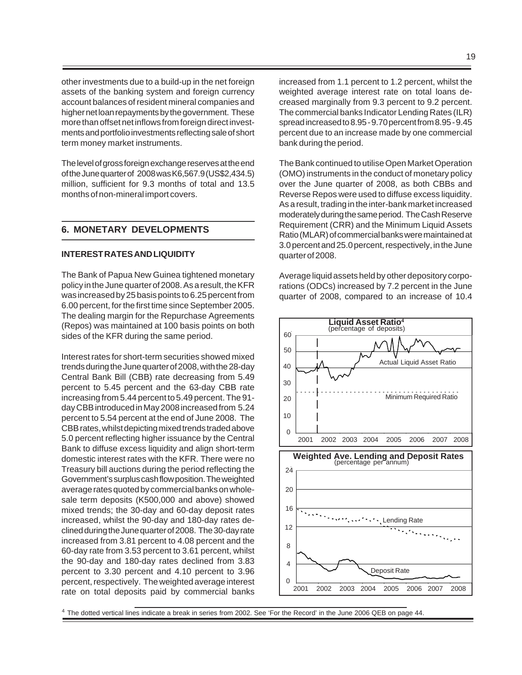other investments due to a build-up in the net foreign assets of the banking system and foreign currency account balances of resident mineral companies and higher net loan repayments by the government. These more than offset net inflows from foreign direct investments and portfolio investments reflecting sale of short term money market instruments.

The level of gross foreign exchange reserves at the end of the June quarter of 2008 was K6,567.9 (US\$2,434.5) million, sufficient for 9.3 months of total and 13.5 months of non-mineral import covers.

## **6. MONETARY DEVELOPMENTS**

#### **INTEREST RATES AND LIQUIDITY**

The Bank of Papua New Guinea tightened monetary policy in the June quarter of 2008. As a result, the KFR was increased by 25 basis points to 6.25 percent from 6.00 percent, for the first time since September 2005. The dealing margin for the Repurchase Agreements (Repos) was maintained at 100 basis points on both sides of the KFR during the same period.

Interest rates for short-term securities showed mixed trends during the June quarter of 2008, with the 28-day Central Bank Bill (CBB) rate decreasing from 5.49 percent to 5.45 percent and the 63-day CBB rate increasing from 5.44 percent to 5.49 percent. The 91 day CBB introduced in May 2008 increased from 5.24 percent to 5.54 percent at the end of June 2008. The CBB rates, whilst depicting mixed trends traded above 5.0 percent reflecting higher issuance by the Central Bank to diffuse excess liquidity and align short-term domestic interest rates with the KFR. There were no Treasury bill auctions during the period reflecting the Government's surplus cash flow position. The weighted average rates quoted by commercial banks on wholesale term deposits (K500,000 and above) showed mixed trends; the 30-day and 60-day deposit rates increased, whilst the 90-day and 180-day rates declined during the June quarter of 2008. The 30-day rate increased from 3.81 percent to 4.08 percent and the 60-day rate from 3.53 percent to 3.61 percent, whilst the 90-day and 180-day rates declined from 3.83 percent to 3.30 percent and 4.10 percent to 3.96 percent, respectively. The weighted average interest rate on total deposits paid by commercial banks increased from 1.1 percent to 1.2 percent, whilst the weighted average interest rate on total loans decreased marginally from 9.3 percent to 9.2 percent. The commercial banks Indicator Lending Rates (ILR) spread increased to 8.95 - 9.70 percent from 8.95 - 9.45 percent due to an increase made by one commercial bank during the period.

The Bank continued to utilise Open Market Operation (OMO) instruments in the conduct of monetary policy over the June quarter of 2008, as both CBBs and Reverse Repos were used to diffuse excess liquidity. As a result, trading in the inter-bank market increased moderately during the same period. The Cash Reserve Requirement (CRR) and the Minimum Liquid Assets Ratio (MLAR) of commercial banks were maintained at 3.0 percent and 25.0 percent, respectively, in the June quarter of 2008.

Average liquid assets held by other depository corporations (ODCs) increased by 7.2 percent in the June quarter of 2008, compared to an increase of 10.4



 $4$  The dotted vertical lines indicate a break in series from 2002. See 'For the Record' in the June 2006 QEB on page 44.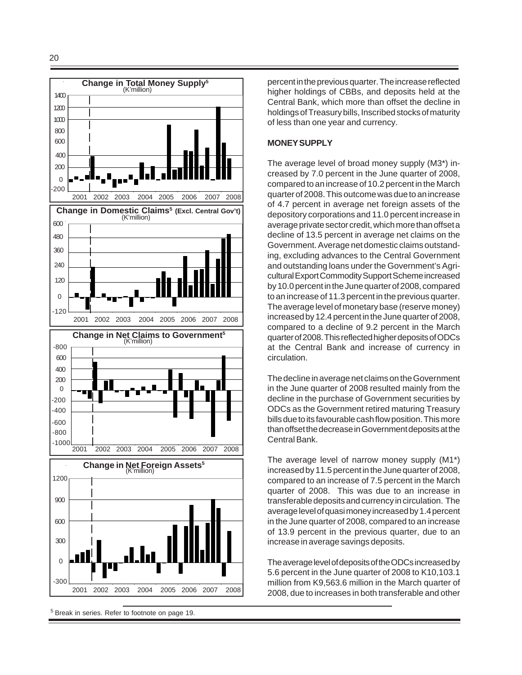

<sup>5</sup> Break in series. Refer to footnote on page 19.

percent in the previous quarter. The increase reflected higher holdings of CBBs, and deposits held at the Central Bank, which more than offset the decline in holdings of Treasury bills, Inscribed stocks of maturity of less than one year and currency.

#### **MONEY SUPPLY**

The average level of broad money supply (M3\*) increased by 7.0 percent in the June quarter of 2008, compared to an increase of 10.2 percent in the March quarter of 2008. This outcome was due to an increase of 4.7 percent in average net foreign assets of the depository corporations and 11.0 percent increase in average private sector credit, which more than offset a decline of 13.5 percent in average net claims on the Government. Average net domestic claims outstanding, excluding advances to the Central Government and outstanding loans under the Government's Agricultural Export Commodity Support Scheme increased by 10.0 percent in the June quarter of 2008, compared to an increase of 11.3 percent in the previous quarter. The average level of monetary base (reserve money) increased by 12.4 percent in the June quarter of 2008, compared to a decline of 9.2 percent in the March quarter of 2008. This reflected higher deposits of ODCs at the Central Bank and increase of currency in circulation.

The decline in average net claims on the Government in the June quarter of 2008 resulted mainly from the decline in the purchase of Government securities by ODCs as the Government retired maturing Treasury bills due to its favourable cash flow position. This more than offset the decrease in Government deposits at the Central Bank.

The average level of narrow money supply (M1\*) increased by 11.5 percent in the June quarter of 2008, compared to an increase of 7.5 percent in the March quarter of 2008. This was due to an increase in transferable deposits and currency in circulation. The average level of quasi money increased by 1.4 percent in the June quarter of 2008, compared to an increase of 13.9 percent in the previous quarter, due to an increase in average savings deposits.

The average level of deposits of the ODCs increased by 5.6 percent in the June quarter of 2008 to K10,103.1 million from K9,563.6 million in the March quarter of 2008, due to increases in both transferable and other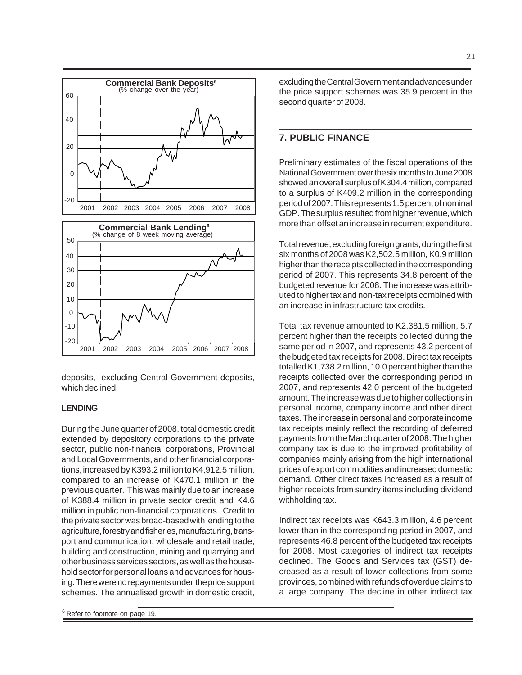

deposits, excluding Central Government deposits, which declined.

#### **LENDING**

During the June quarter of 2008, total domestic credit extended by depository corporations to the private sector, public non-financial corporations, Provincial and Local Governments, and other financial corporations, increased by K393.2 million to K4,912.5 million, compared to an increase of K470.1 million in the previous quarter. This was mainly due to an increase of K388.4 million in private sector credit and K4.6 million in public non-financial corporations. Credit to the private sector was broad-based with lending to the agriculture, forestry and fisheries, manufacturing, transport and communication, wholesale and retail trade, building and construction, mining and quarrying and other business services sectors, as well as the household sector for personal loans and advances for housing. There were no repayments under the price support schemes. The annualised growth in domestic credit,

<sup>6</sup> Refer to footnote on page 19.

excluding the Central Government and advances under the price support schemes was 35.9 percent in the second quarter of 2008.

# **7. PUBLIC FINANCE**

Preliminary estimates of the fiscal operations of the National Government over the six months to June 2008 showed an overall surplus of K304.4 million, compared to a surplus of K409.2 million in the corresponding period of 2007. This represents 1.5 percent of nominal GDP. The surplus resulted from higher revenue, which more than offset an increase in recurrent expenditure.

Total revenue, excluding foreign grants, during the first six months of 2008 was K2,502.5 million, K0.9 million higher than the receipts collected in the corresponding period of 2007. This represents 34.8 percent of the budgeted revenue for 2008. The increase was attributed to higher tax and non-tax receipts combined with an increase in infrastructure tax credits.

Total tax revenue amounted to K2,381.5 million, 5.7 percent higher than the receipts collected during the same period in 2007, and represents 43.2 percent of the budgeted tax receipts for 2008. Direct tax receipts totalled K1,738.2 million, 10.0 percent higher than the receipts collected over the corresponding period in 2007, and represents 42.0 percent of the budgeted amount. The increase was due to higher collections in personal income, company income and other direct taxes. The increase in personal and corporate income tax receipts mainly reflect the recording of deferred payments from the March quarter of 2008. The higher company tax is due to the improved profitability of companies mainly arising from the high international prices of export commodities and increased domestic demand. Other direct taxes increased as a result of higher receipts from sundry items including dividend withholding tax.

Indirect tax receipts was K643.3 million, 4.6 percent lower than in the corresponding period in 2007, and represents 46.8 percent of the budgeted tax receipts for 2008. Most categories of indirect tax receipts declined. The Goods and Services tax (GST) decreased as a result of lower collections from some provinces, combined with refunds of overdue claims to a large company. The decline in other indirect tax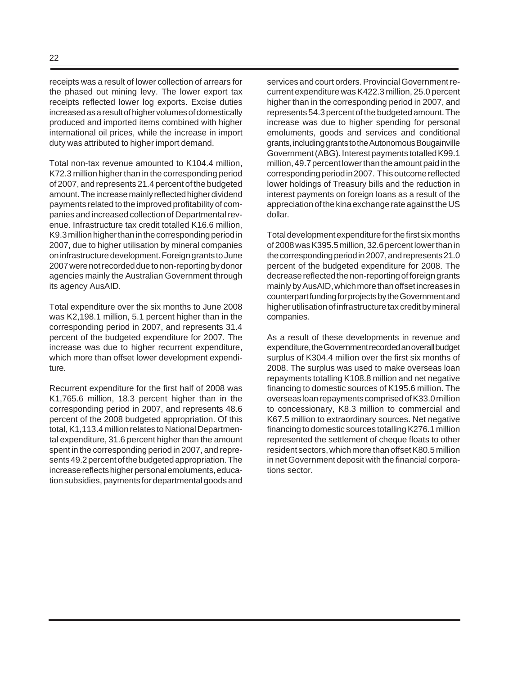receipts was a result of lower collection of arrears for the phased out mining levy. The lower export tax receipts reflected lower log exports. Excise duties increased as a result of higher volumes of domestically produced and imported items combined with higher international oil prices, while the increase in import duty was attributed to higher import demand.

Total non-tax revenue amounted to K104.4 million, K72.3 million higher than in the corresponding period of 2007, and represents 21.4 percent of the budgeted amount. The increase mainly reflected higher dividend payments related to the improved profitability of companies and increased collection of Departmental revenue. Infrastructure tax credit totalled K16.6 million, K9.3 million higher than in the corresponding period in 2007, due to higher utilisation by mineral companies on infrastructure development. Foreign grants to June 2007 were not recorded due to non-reporting by donor agencies mainly the Australian Government through its agency AusAID.

Total expenditure over the six months to June 2008 was K2,198.1 million, 5.1 percent higher than in the corresponding period in 2007, and represents 31.4 percent of the budgeted expenditure for 2007. The increase was due to higher recurrent expenditure, which more than offset lower development expenditure.

Recurrent expenditure for the first half of 2008 was K1,765.6 million, 18.3 percent higher than in the corresponding period in 2007, and represents 48.6 percent of the 2008 budgeted appropriation. Of this total, K1,113.4 million relates to National Departmental expenditure, 31.6 percent higher than the amount spent in the corresponding period in 2007, and represents 49.2 percent of the budgeted appropriation. The increase reflects higher personal emoluments, education subsidies, payments for departmental goods and services and court orders. Provincial Government recurrent expenditure was K422.3 million, 25.0 percent higher than in the corresponding period in 2007, and represents 54.3 percent of the budgeted amount. The increase was due to higher spending for personal emoluments, goods and services and conditional grants, including grants to the Autonomous Bougainville Government (ABG). Interest payments totalled K99.1 million, 49.7 percent lower than the amount paid in the corresponding period in 2007. This outcome reflected lower holdings of Treasury bills and the reduction in interest payments on foreign loans as a result of the appreciation of the kina exchange rate against the US dollar.

Total development expenditure for the first six months of 2008 was K395.5 million, 32.6 percent lower than in the corresponding period in 2007, and represents 21.0 percent of the budgeted expenditure for 2008. The decrease reflected the non-reporting of foreign grants mainly by AusAID, which more than offset increases in counterpart funding for projects by the Government and higher utilisation of infrastructure tax credit by mineral companies.

As a result of these developments in revenue and expenditure, the Government recorded an overall budget surplus of K304.4 million over the first six months of 2008. The surplus was used to make overseas loan repayments totalling K108.8 million and net negative financing to domestic sources of K195.6 million. The overseas loan repayments comprised of K33.0 million to concessionary, K8.3 million to commercial and K67.5 million to extraordinary sources. Net negative financing to domestic sources totalling K276.1 million represented the settlement of cheque floats to other resident sectors, which more than offset K80.5 million in net Government deposit with the financial corporations sector.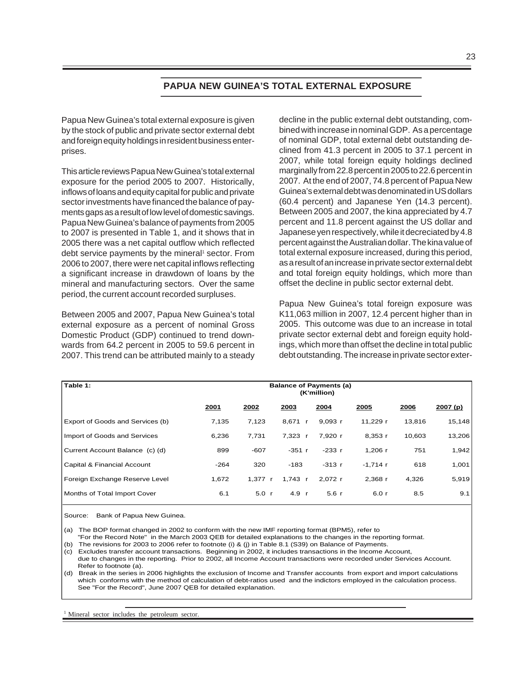## **PAPUA NEW GUINEA'S TOTAL EXTERNAL EXPOSURE**

Papua New Guinea's total external exposure is given by the stock of public and private sector external debt and foreign equity holdings in resident business enterprises.

This article reviews Papua New Guinea's total external exposure for the period 2005 to 2007. Historically, inflows of loans and equity capital for public and private sector investments have financed the balance of payments gaps as a result of low level of domestic savings. Papua New Guinea's balance of payments from 2005 to 2007 is presented in Table 1, and it shows that in 2005 there was a net capital outflow which reflected debt service payments by the mineral<sup>1</sup> sector. From 2006 to 2007, there were net capital inflows reflecting a significant increase in drawdown of loans by the mineral and manufacturing sectors. Over the same period, the current account recorded surpluses.

Between 2005 and 2007, Papua New Guinea's total external exposure as a percent of nominal Gross Domestic Product (GDP) continued to trend downwards from 64.2 percent in 2005 to 59.6 percent in 2007. This trend can be attributed mainly to a steady decline in the public external debt outstanding, combined with increase in nominal GDP. As a percentage of nominal GDP, total external debt outstanding declined from 41.3 percent in 2005 to 37.1 percent in 2007, while total foreign equity holdings declined marginally from 22.8 percent in 2005 to 22.6 percent in 2007. At the end of 2007, 74.8 percent of Papua New Guinea's external debt was denominated in US dollars (60.4 percent) and Japanese Yen (14.3 percent). Between 2005 and 2007, the kina appreciated by 4.7 percent and 11.8 percent against the US dollar and Japanese yen respectively, while it decreciated by 4.8 percent against the Australian dollar. The kina value of total external exposure increased, during this period, as a result of an increase in private sector external debt and total foreign equity holdings, which more than offset the decline in public sector external debt.

Papua New Guinea's total foreign exposure was K11,063 million in 2007, 12.4 percent higher than in 2005. This outcome was due to an increase in total private sector external debt and foreign equity holdings, which more than offset the decline in total public debt outstanding. The increase in private sector exter-

| Table 1:                         |        |           |           |           |            |        |         |
|----------------------------------|--------|-----------|-----------|-----------|------------|--------|---------|
|                                  | 2001   | 2002      | 2003      | 2004      | 2005       | 2006   | 2007(p) |
| Export of Goods and Services (b) | 7,135  | 7,123     | 8,671 r   | $9,093$ r | 11,229 r   | 13,816 | 15,148  |
| Import of Goods and Services     | 6,236  | 7,731     | $7,323$ r | 7,920 r   | 8,353r     | 10,603 | 13,206  |
| Current Account Balance (c) (d)  | 899    | $-607$    | $-351r$   | $-233r$   | 1,206 r    | 751    | 1,942   |
| Capital & Financial Account      | $-264$ | 320       | $-183$    | $-313r$   | $-1.714$ r | 618    | 1,001   |
| Foreign Exchange Reserve Level   | 1,672  | $1,377$ r | 1.743 $r$ | $2.072$ r | $2,368$ r  | 4,326  | 5,919   |
| Months of Total Import Cover     | 6.1    | 5.0 r     | 4.9 r     | 5.6r      | 6.0r       | 8.5    | 9.1     |

Source: Bank of Papua New Guinea.

(a) The BOP format changed in 2002 to conform with the new IMF reporting format (BPM5), refer to

"For the Record Note" in the March 2003 QEB for detailed explanations to the changes in the reporting format.

(b) The revisions for 2003 to 2006 refer to footnote (i) & (j) in Table 8.1 (S39) on Balance of Payments. (c) Excludes transfer account transactions. Beginning in 2002, it includes transactions in the Income Account,

- due to changes in the reporting. Prior to 2002, all Income Account transactions were recorded under Services Account. Refer to footnote (a).
- (d) Break in the series in 2006 highlights the exclusion of Income and Transfer accounts from export and import calculations which conforms with the method of calculation of debt-ratios used and the indictors employed in the calculation process. See "For the Record", June 2007 QEB for detailed explanation.

<sup>1</sup> Mineral sector includes the petroleum sector.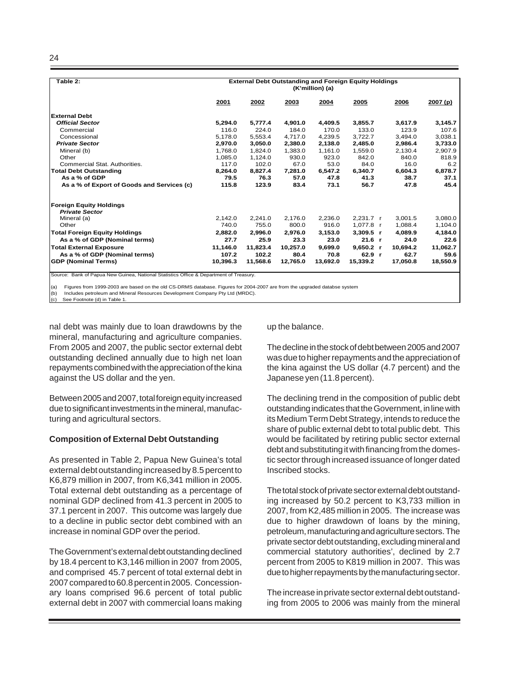| Table 2:                                                | <b>External Debt Outstanding and Foreign Equity Holdings</b><br>(K'million) (a) |          |          |          |             |          |          |  |  |  |
|---------------------------------------------------------|---------------------------------------------------------------------------------|----------|----------|----------|-------------|----------|----------|--|--|--|
|                                                         | 2001                                                                            | 2002     | 2003     | 2004     | 2005        | 2006     | 2007(p)  |  |  |  |
| <b>External Debt</b>                                    |                                                                                 |          |          |          |             |          |          |  |  |  |
| <b>Official Sector</b>                                  | 5,294.0                                                                         | 5.777.4  | 4,901.0  | 4,409.5  | 3,855.7     | 3,617.9  | 3,145.7  |  |  |  |
| Commercial                                              | 116.0                                                                           | 224.0    | 184.0    | 170.0    | 133.0       | 123.9    | 107.6    |  |  |  |
| Concessional                                            | 5,178.0                                                                         | 5,553.4  | 4,717.0  | 4,239.5  | 3,722.7     | 3,494.0  | 3,038.1  |  |  |  |
| <b>Private Sector</b>                                   | 2,970.0                                                                         | 3,050.0  | 2,380.0  | 2,138.0  | 2,485.0     | 2,986.4  | 3,733.0  |  |  |  |
| Mineral (b)                                             | 1.768.0                                                                         | 1,824.0  | 1,383.0  | 1,161.0  | 1,559.0     | 2,130.4  | 2,907.9  |  |  |  |
| Other                                                   | 1,085.0                                                                         | 1,124.0  | 930.0    | 923.0    | 842.0       | 840.0    | 818.9    |  |  |  |
| Commercial Stat. Authorities.                           | 117.0                                                                           | 102.0    | 67.0     | 53.0     | 84.0        | 16.0     | 6.2      |  |  |  |
| Total Debt Outstanding                                  | 8,264.0                                                                         | 8,827.4  | 7,281.0  | 6,547.2  | 6,340.7     | 6,604.3  | 6,878.7  |  |  |  |
| As a % of GDP                                           | 79.5                                                                            | 76.3     | 57.0     | 47.8     | 41.3        | 38.7     | 37.1     |  |  |  |
| As a % of Export of Goods and Services (c)              | 115.8                                                                           | 123.9    | 83.4     | 73.1     | 56.7        | 47.8     | 45.4     |  |  |  |
| <b>Foreign Equity Holdings</b><br><b>Private Sector</b> |                                                                                 |          |          |          |             |          |          |  |  |  |
| Mineral (a)                                             | 2,142.0                                                                         | 2,241.0  | 2,176.0  | 2,236.0  | 2,231.7 r   | 3,001.5  | 3,080.0  |  |  |  |
| Other                                                   | 740.0                                                                           | 755.0    | 800.0    | 916.0    | $1.077.8$ r | 1,088.4  | 1,104.0  |  |  |  |
| <b>Total Foreign Equity Holdings</b>                    | 2,882.0                                                                         | 2.996.0  | 2,976.0  | 3,153.0  | $3,309.5$ r | 4.089.9  | 4,184.0  |  |  |  |
| As a % of GDP (Nominal terms)                           | 27.7                                                                            | 25.9     | 23.3     | 23.0     | 21.6 r      | 24.0     | 22.6     |  |  |  |
| <b>Total External Exposure</b>                          | 11,146.0                                                                        | 11,823.4 | 10,257.0 | 9,699.0  | 9.650.2 r   | 10,694.2 | 11,062.7 |  |  |  |
| As a % of GDP (Nominal terms)                           | 107.2                                                                           | 102.2    | 80.4     | 70.8     | 62.9 r      | 62.7     | 59.6     |  |  |  |
| <b>GDP (Nominal Terms)</b>                              | 10,396.3                                                                        | 11,568.6 | 12,765.0 | 13,692.0 | 15,339.2    | 17,050.8 | 18,550.9 |  |  |  |

Source: Bank of Papua New Guinea, National Statistics Office & Department of Treasury.

(a) Figures from 1999-2003 are based on the old CS-DRMS database. Figures for 2004-2007 are from the upgraded databse system

(b) Includes petroleum and Mineral Resources Development Company Pty Ltd (MRDC).

See Footnote (d) in Table 1.

nal debt was mainly due to loan drawdowns by the mineral, manufacturing and agriculture companies. From 2005 and 2007, the public sector external debt outstanding declined annually due to high net loan repayments combined with the appreciation of the kina against the US dollar and the yen.

Between 2005 and 2007, total foreign equity increased due to significant investments in the mineral, manufacturing and agricultural sectors.

#### **Composition of External Debt Outstanding**

As presented in Table 2, Papua New Guinea's total external debt outstanding increased by 8.5 percent to K6,879 million in 2007, from K6,341 million in 2005. Total external debt outstanding as a percentage of nominal GDP declined from 41.3 percent in 2005 to 37.1 percent in 2007. This outcome was largely due to a decline in public sector debt combined with an increase in nominal GDP over the period.

The Government's external debt outstanding declined by 18.4 percent to K3,146 million in 2007 from 2005, and comprised 45.7 percent of total external debt in 2007 compared to 60.8 percent in 2005. Concessionary loans comprised 96.6 percent of total public external debt in 2007 with commercial loans making up the balance.

The decline in the stock of debt between 2005 and 2007 was due to higher repayments and the appreciation of the kina against the US dollar (4.7 percent) and the Japanese yen (11.8 percent).

The declining trend in the composition of public debt outstanding indicates that the Government, in line with its Medium Term Debt Strategy, intends to reduce the share of public external debt to total public debt. This would be facilitated by retiring public sector external debt and substituting it with financing from the domestic sector through increased issuance of longer dated Inscribed stocks.

The total stock of private sector external debt outstanding increased by 50.2 percent to K3,733 million in 2007, from K2,485 million in 2005. The increase was due to higher drawdown of loans by the mining, petroleum, manufacturing and agriculture sectors. The private sector debt outstanding, excluding mineral and commercial statutory authorities', declined by 2.7 percent from 2005 to K819 million in 2007. This was due to higher repayments by the manufacturing sector.

The increase in private sector external debt outstanding from 2005 to 2006 was mainly from the mineral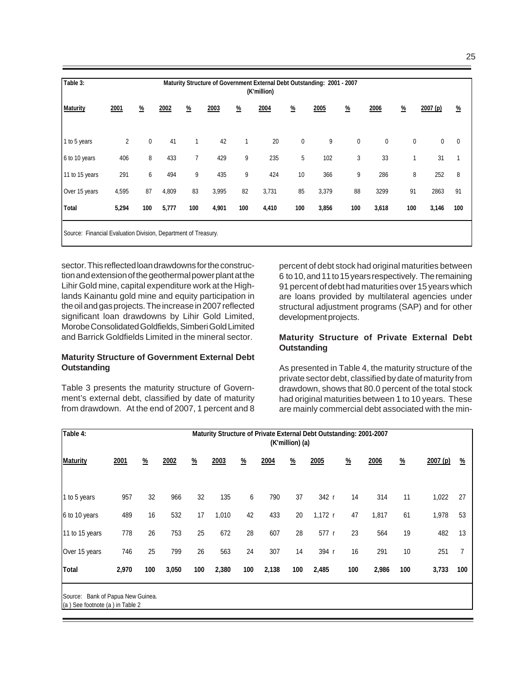**Maturity 2001 % 2002 % 2003 % 2004 % 2005 % 2006 % 2007 (p) %** 1 to 5 years 2 0 41 1 42 1 20 0 9 0 0 0 0 0 **Maturity Structure of Government External Debt Outstanding: 2001 - 2007 (K'million)**

6 to 10 years 406 8 433 7 429 9 235 5 102 3 33 1 31 1 11 to 15 years 291 6 494 9 435 9 424 10 366 9 286 8 252 8 Over 15 years 4,595 87 4,809 83 3,995 82 3,731 85 3,379 88 3299 91 2863 91 **Total 5,294 100 5,777 100 4,901 100 4,410 100 3,856 100 3,618 100 3,146 100**

sector. This reflected loan drawdowns for the construction and extension of the geothermal power plant at the Lihir Gold mine, capital expenditure work at the Highlands Kainantu gold mine and equity participation in the oil and gas projects. The increase in 2007 reflected significant loan drawdowns by Lihir Gold Limited, Morobe Consolidated Goldfields, Simberi Gold Limited

Source: Financial Evaluation Division, Department of Treasury.

**Table 3:** 

## **Maturity Structure of Government External Debt Outstanding**

and Barrick Goldfields Limited in the mineral sector.

Table 3 presents the maturity structure of Government's external debt, classified by date of maturity from drawdown. At the end of 2007, 1 percent and 8 percent of debt stock had original maturities between 6 to 10, and 11 to 15 years respectively. The remaining 91 percent of debt had maturities over 15 years which are loans provided by multilateral agencies under structural adjustment programs (SAP) and for other development projects.

## **Maturity Structure of Private External Debt Outstanding**

As presented in Table 4, the maturity structure of the private sector debt, classified by date of maturity from drawdown, shows that 80.0 percent of the total stock had original maturities between 1 to 10 years. These are mainly commercial debt associated with the min-

| Table 4:                        | Maturity Structure of Private External Debt Outstanding: 2001-2007<br>(K'million) (a) |               |       |               |       |               |       |               |           |               |       |               |          |               |
|---------------------------------|---------------------------------------------------------------------------------------|---------------|-------|---------------|-------|---------------|-------|---------------|-----------|---------------|-------|---------------|----------|---------------|
| <b>Maturity</b>                 | 2001                                                                                  | $\frac{9}{6}$ | 2002  | $\frac{0}{2}$ | 2003  | $\frac{0}{2}$ | 2004  | $\frac{9}{6}$ | 2005      | $\frac{0}{2}$ | 2006  | $\frac{0}{2}$ | 2007 (p) | $\frac{9}{6}$ |
|                                 |                                                                                       |               |       |               |       |               |       |               |           |               |       |               |          |               |
| 1 to 5 years                    | 957                                                                                   | 32            | 966   | 32            | 135   | 6             | 790   | 37            | 342 r     | 14            | 314   | 11            | 1,022    | 27            |
| 6 to 10 years                   | 489                                                                                   | 16            | 532   | 17            | 1,010 | 42            | 433   | 20            | $1,172$ r | 47            | 1,817 | 61            | 1,978    | 53            |
| 11 to 15 years                  | 778                                                                                   | 26            | 753   | 25            | 672   | 28            | 607   | 28            | 577 r     | 23            | 564   | 19            | 482      | 13            |
| Over 15 years                   | 746                                                                                   | 25            | 799   | 26            | 563   | 24            | 307   | 14            | 394 r     | 16            | 291   | 10            | 251      | 7             |
| <b>Total</b>                    | 2,970                                                                                 | 100           | 3,050 | 100           | 2,380 | 100           | 2,138 | 100           | 2,485     | 100           | 2,986 | 100           | 3,733    | 100           |
| Source:                         | Bank of Papua New Guinea.                                                             |               |       |               |       |               |       |               |           |               |       |               |          |               |
| (a) See footnote (a) in Table 2 |                                                                                       |               |       |               |       |               |       |               |           |               |       |               |          |               |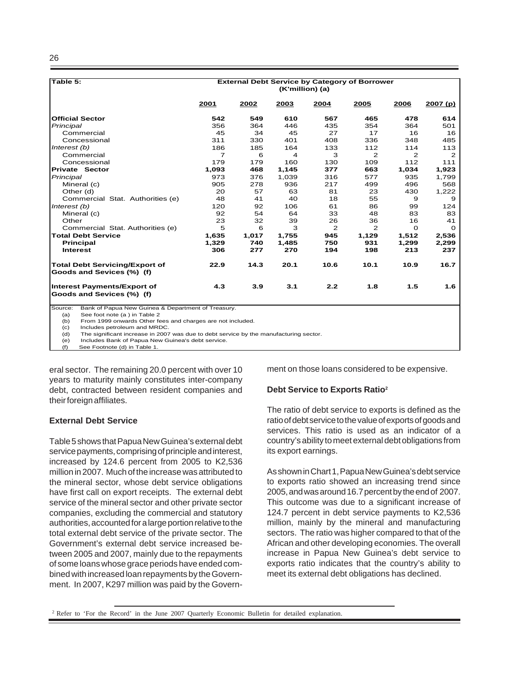| Table 5:                                                        | <b>External Debt Service by Category of Borrower</b><br>(K'million) (a) |       |       |                |                |                |          |  |  |
|-----------------------------------------------------------------|-------------------------------------------------------------------------|-------|-------|----------------|----------------|----------------|----------|--|--|
|                                                                 | 2001                                                                    | 2002  | 2003  | 2004           | 2005           | 2006           | 2007(p)  |  |  |
| <b>IOfficial Sector</b>                                         | 542                                                                     | 549   | 610   | 567            | 465            | 478            | 614      |  |  |
| Principal                                                       | 356                                                                     | 364   | 446   | 435            | 354            | 364            | 501      |  |  |
| Commercial                                                      | 45                                                                      | 34    | 45    | 27             | 17             | 16             | 16       |  |  |
| Concessional                                                    | 311                                                                     | 330   | 401   | 408            | 336            | 348            | 485      |  |  |
| Interest (b)                                                    | 186                                                                     | 185   | 164   | 133            | 112            | 114            | 113      |  |  |
| Commercial                                                      | $\overline{7}$                                                          | 6     | 4     | 3              | 2              | $\overline{2}$ | 2        |  |  |
| Concessional                                                    | 179                                                                     | 179   | 160   | 130            | 109            | 112            | 111      |  |  |
| <b>Private Sector</b>                                           | 1,093                                                                   | 468   | 1,145 | 377            | 663            | 1,034          | 1,923    |  |  |
| Principal                                                       | 973                                                                     | 376   | 1,039 | 316            | 577            | 935            | 1,799    |  |  |
| Mineral (c)                                                     | 905                                                                     | 278   | 936   | 217            | 499            | 496            | 568      |  |  |
| Other (d)                                                       | 20                                                                      | 57    | 63    | 81             | 23             | 430            | 1,222    |  |  |
| Commercial Stat. Authorities (e)                                | 48                                                                      | 41    | 40    | 18             | 55             | 9              | 9        |  |  |
| Interest (b)                                                    | 120                                                                     | 92    | 106   | 61             | 86             | 99             | 124      |  |  |
| Mineral (c)                                                     | 92                                                                      | 54    | 64    | 33             | 48             | 83             | 83       |  |  |
| Other                                                           | 23                                                                      | 32    | 39    | 26             | 36             | 16             | 41       |  |  |
| Commercial Stat. Authorities (e)                                | 5                                                                       | 6     | 3     | $\overline{2}$ | $\overline{2}$ | 0              | $\Omega$ |  |  |
| <b>Total Debt Service</b>                                       | 1,635                                                                   | 1,017 | 1,755 | 945            | 1,129          | 1,512          | 2,536    |  |  |
| <b>Principal</b>                                                | 1,329                                                                   | 740   | 1,485 | 750            | 931            | 1,299          | 2,299    |  |  |
| <b>Interest</b>                                                 | 306                                                                     | 277   | 270   | 194            | 198            | 213            | 237      |  |  |
| Total Debt Servicing/Export of<br>Goods and Sevices (%) (f)     | 22.9                                                                    | 14.3  | 20.1  | 10.6           | 10.1           | 10.9           | 16.7     |  |  |
| Interest Payments/Export of<br><b>Goods and Sevices (%) (f)</b> | 4.3                                                                     | 3.9   | 3.1   | 2.2            | 1.8            | 1.5            | 1.6      |  |  |

(a) See foot note (a ) in Table 2

(b) From 1999 onwards Other fees and charges are not included.<br>(c) Includes petroleum and MRDC. Includes petroleum and MRDC.

(d) The significant increase in 2007 was due to debt service by the manufacturing sector.

(e) Includes Bank of Papua New Guinea's debt service.

See Footnote (d) in Table 1.

eral sector. The remaining 20.0 percent with over 10 years to maturity mainly constitutes inter-company debt, contracted between resident companies and their foreign affiliates.

#### **External Debt Service**

Table 5 shows that Papua New Guinea's external debt service payments, comprising of principle and interest, increased by 124.6 percent from 2005 to K2,536 million in 2007. Much of the increase was attributed to the mineral sector, whose debt service obligations have first call on export receipts. The external debt service of the mineral sector and other private sector companies, excluding the commercial and statutory authorities, accounted for a large portion relative to the total external debt service of the private sector. The Government's external debt service increased between 2005 and 2007, mainly due to the repayments of some loans whose grace periods have ended combined with increased loan repayments by the Government. In 2007, K297 million was paid by the Government on those loans considered to be expensive.

#### **Debt Service to Exports Ratio2**

The ratio of debt service to exports is defined as the ratio of debt service to the value of exports of goods and services. This ratio is used as an indicator of a country's ability to meet external debt obligations from its export earnings.

As shown in Chart 1, Papua New Guinea's debt service to exports ratio showed an increasing trend since 2005, and was around 16.7 percent by the end of 2007. This outcome was due to a significant increase of 124.7 percent in debt service payments to K2,536 million, mainly by the mineral and manufacturing sectors. The ratio was higher compared to that of the African and other developing economies. The overall increase in Papua New Guinea's debt service to exports ratio indicates that the country's ability to meet its external debt obligations has declined.

2 Refer to 'For the Record' in the June 2007 Quarterly Economic Bulletin for detailed explanation.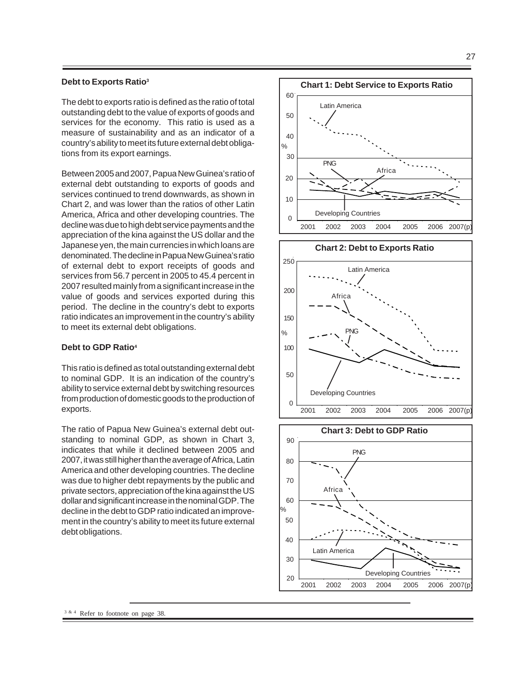#### **Debt to Exports Ratio3**

The debt to exports ratio is defined as the ratio of total outstanding debt to the value of exports of goods and services for the economy. This ratio is used as a measure of sustainability and as an indicator of a country's ability to meet its future external debt obligations from its export earnings.

Between 2005 and 2007, Papua New Guinea's ratio of external debt outstanding to exports of goods and services continued to trend downwards, as shown in Chart 2, and was lower than the ratios of other Latin America, Africa and other developing countries. The decline was due to high debt service payments and the appreciation of the kina against the US dollar and the Japanese yen, the main currencies in which loans are denominated. The decline in Papua New Guinea's ratio of external debt to export receipts of goods and services from 56.7 percent in 2005 to 45.4 percent in 2007 resulted mainly from a significant increase in the value of goods and services exported during this period. The decline in the country's debt to exports ratio indicates an improvement in the country's ability to meet its external debt obligations.

## **Debt to GDP Ratio4**

This ratio is defined as total outstanding external debt to nominal GDP. It is an indication of the country's ability to service external debt by switching resources from production of domestic goods to the production of exports.

The ratio of Papua New Guinea's external debt outstanding to nominal GDP, as shown in Chart 3, indicates that while it declined between 2005 and 2007, it was still higher than the average of Africa, Latin America and other developing countries. The decline was due to higher debt repayments by the public and private sectors, appreciation of the kina against the US dollar and significant increase in the nominal GDP. The decline in the debt to GDP ratio indicated an improvement in the country's ability to meet its future external debt obligations.





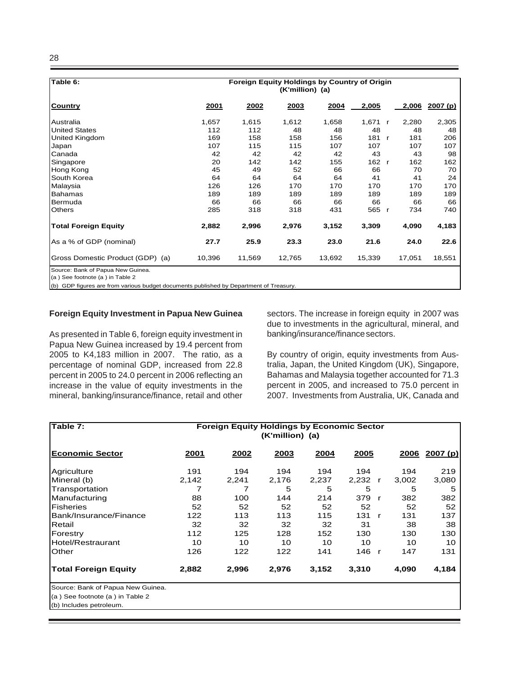| ٠       |                    |
|---------|--------------------|
| ۰,<br>v | ۰<br>۰.<br>×<br>۰. |

| Table 6:                         | Foreign Equity Holdings by Country of Origin<br>(K'million) (a) |        |        |        |        |                       |         |  |  |  |  |
|----------------------------------|-----------------------------------------------------------------|--------|--------|--------|--------|-----------------------|---------|--|--|--|--|
| <b>Country</b>                   | 2001                                                            | 2002   | 2003   | 2004   | 2,005  | 2,006                 | 2007(p) |  |  |  |  |
| Australia                        | 1,657                                                           | 1,615  | 1,612  | 1,658  | 1,671  | 2,280<br>$\mathsf{r}$ | 2,305   |  |  |  |  |
| <b>United States</b>             | 112                                                             | 112    | 48     | 48     | 48     | 48                    | 48      |  |  |  |  |
| United Kingdom                   | 169                                                             | 158    | 158    | 156    | 181    | 181<br>$\mathbf{r}$   | 206     |  |  |  |  |
| Japan                            | 107                                                             | 115    | 115    | 107    | 107    | 107                   | 107     |  |  |  |  |
| Canada                           | 42                                                              | 42     | 42     | 42     | 43     | 43                    | 98      |  |  |  |  |
| Singapore                        | 20                                                              | 142    | 142    | 155    | 162 r  | 162                   | 162     |  |  |  |  |
| Hong Kong                        | 45                                                              | 49     | 52     | 66     | 66     | 70                    | 70      |  |  |  |  |
| South Korea                      | 64                                                              | 64     | 64     | 64     | 41     | 41                    | 24      |  |  |  |  |
| Malaysia                         | 126                                                             | 126    | 170    | 170    | 170    | 170                   | 170     |  |  |  |  |
| <b>Bahamas</b>                   | 189                                                             | 189    | 189    | 189    | 189    | 189                   | 189     |  |  |  |  |
| Bermuda                          | 66                                                              | 66     | 66     | 66     | 66     | 66                    | 66      |  |  |  |  |
| <b>Others</b>                    | 285                                                             | 318    | 318    | 431    | 565    | 734<br>$\mathsf{r}$   | 740     |  |  |  |  |
| <b>Total Foreign Equity</b>      | 2,882                                                           | 2,996  | 2,976  | 3,152  | 3,309  | 4,090                 | 4,183   |  |  |  |  |
| As a % of GDP (nominal)          | 27.7                                                            | 25.9   | 23.3   | 23.0   | 21.6   | 24.0                  | 22.6    |  |  |  |  |
| Gross Domestic Product (GDP) (a) | 10,396                                                          | 11,569 | 12,765 | 13,692 | 15,339 | 17,051                | 18,551  |  |  |  |  |

(a ) See footnote (a ) in Table 2

(b) GDP figures are from various budget documents published by Department of Treasury.

#### **Foreign Equity Investment in Papua New Guinea**

As presented in Table 6, foreign equity investment in Papua New Guinea increased by 19.4 percent from 2005 to K4,183 million in 2007. The ratio, as a percentage of nominal GDP, increased from 22.8 percent in 2005 to 24.0 percent in 2006 reflecting an increase in the value of equity investments in the mineral, banking/insurance/finance, retail and other sectors. The increase in foreign equity in 2007 was due to investments in the agricultural, mineral, and banking/insurance/finance sectors.

By country of origin, equity investments from Australia, Japan, the United Kingdom (UK), Singapore, Bahamas and Malaysia together accounted for 71.3 percent in 2005, and increased to 75.0 percent in 2007. Investments from Australia, UK, Canada and

| Table 7:                          |       | <b>Foreign Equity Holdings by Economic Sector</b><br>(K'million) (a) |       |       |                       |       |         |  |  |  |  |
|-----------------------------------|-------|----------------------------------------------------------------------|-------|-------|-----------------------|-------|---------|--|--|--|--|
| <b>Economic Sector</b>            | 2001  | 2002                                                                 | 2003  | 2004  | 2005                  | 2006  | 2007(p) |  |  |  |  |
| Agriculture                       | 191   | 194                                                                  | 194   | 194   | 194                   | 194   | 219     |  |  |  |  |
| Mineral (b)                       | 2,142 | 2,241                                                                | 2,176 | 2,237 | 2,232<br>$\mathsf{r}$ | 3,002 | 3,080   |  |  |  |  |
| Transportation                    | 7     | 7                                                                    | 5     | 5     | 5                     | 5     | 5       |  |  |  |  |
| Manufacturing                     | 88    | 100                                                                  | 144   | 214   | 379<br>$\mathbf{r}$   | 382   | 382     |  |  |  |  |
| Fisheries                         | 52    | 52                                                                   | 52    | 52    | 52                    | 52    | 52      |  |  |  |  |
| Bank/Insurance/Finance            | 122   | 113                                                                  | 113   | 115   | 131<br>r              | 131   | 137     |  |  |  |  |
| Retail                            | 32    | 32                                                                   | 32    | 32    | 31                    | 38    | 38      |  |  |  |  |
| Forestry                          | 112   | 125                                                                  | 128   | 152   | 130                   | 130   | 130     |  |  |  |  |
| Hotel/Restraurant                 | 10    | 10                                                                   | 10    | 10    | 10                    | 10    | 10      |  |  |  |  |
| Other                             | 126   | 122                                                                  | 122   | 141   | 146<br>$\mathsf{r}$   | 147   | 131     |  |  |  |  |
| <b>Total Foreign Equity</b>       | 2,882 | 2,996                                                                | 2,976 | 3,152 | 3,310                 | 4,090 | 4,184   |  |  |  |  |
| Source: Bank of Papua New Guinea. |       |                                                                      |       |       |                       |       |         |  |  |  |  |
| (a) See footnote (a) in Table 2   |       |                                                                      |       |       |                       |       |         |  |  |  |  |
| (b) Includes petroleum.           |       |                                                                      |       |       |                       |       |         |  |  |  |  |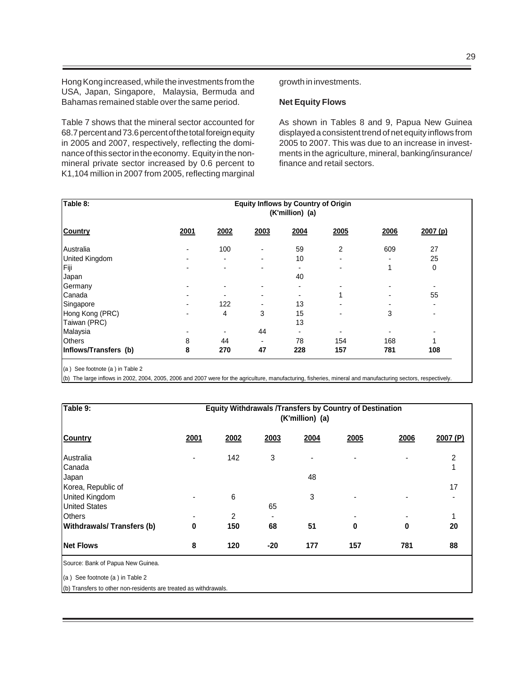Hong Kong increased, while the investments from the USA, Japan, Singapore, Malaysia, Bermuda and Bahamas remained stable over the same period.

Table 7 shows that the mineral sector accounted for 68.7 percent and 73.6 percent of the total foreign equity in 2005 and 2007, respectively, reflecting the dominance of this sector in the economy. Equity in the nonmineral private sector increased by 0.6 percent to K1,104 million in 2007 from 2005, reflecting marginal growth in investments.

#### **Net Equity Flows**

As shown in Tables 8 and 9, Papua New Guinea displayed a consistent trend of net equity inflows from 2005 to 2007. This was due to an increase in investments in the agriculture, mineral, banking/insurance/ finance and retail sectors.

| Table 8:              | <b>Equity Inflows by Country of Origin</b><br>(K'million) (a) |      |                          |                |      |      |         |  |  |
|-----------------------|---------------------------------------------------------------|------|--------------------------|----------------|------|------|---------|--|--|
| <b>Country</b>        | 2001                                                          | 2002 | 2003                     | 2004           | 2005 | 2006 | 2007(p) |  |  |
| Australia             |                                                               | 100  |                          | 59             | 2    | 609  | 27      |  |  |
| United Kingdom        |                                                               |      |                          | 10             |      |      | 25      |  |  |
| Fiji                  |                                                               |      |                          |                |      |      | 0       |  |  |
| Japan                 |                                                               |      |                          | 40             |      |      |         |  |  |
| Germany               |                                                               |      |                          |                |      |      |         |  |  |
| Canada                |                                                               |      |                          |                |      |      | 55      |  |  |
| Singapore             |                                                               | 122  |                          | 13             |      |      |         |  |  |
| Hong Kong (PRC)       |                                                               | 4    | 3                        | 15             |      | 3    |         |  |  |
| Taiwan (PRC)          |                                                               |      |                          | 13             |      |      |         |  |  |
| Malaysia              |                                                               |      | 44                       | $\blacksquare$ |      |      |         |  |  |
| <b>Others</b>         | 8                                                             | 44   | $\overline{\phantom{a}}$ | 78             | 154  | 168  |         |  |  |
| Inflows/Transfers (b) | 8                                                             | 270  | 47                       | 228            | 157  | 781  | 108     |  |  |

(a ) See footnote (a ) in Table 2

(b) The large inflows in 2002, 2004, 2005, 2006 and 2007 were for the agriculture, manufacturing, fisheries, mineral and manufacturing sectors, respectively.

| Table 9:                          | <b>Equity Withdrawals /Transfers by Country of Destination</b><br>(K'million) (a) |      |                |      |      |          |          |  |  |  |
|-----------------------------------|-----------------------------------------------------------------------------------|------|----------------|------|------|----------|----------|--|--|--|
| <b>Country</b>                    | 2001                                                                              | 2002 | 2003           | 2004 | 2005 | 2006     | 2007 (P) |  |  |  |
| Australia                         |                                                                                   | 142  | 3              |      |      |          | 2        |  |  |  |
| Canada                            |                                                                                   |      |                |      |      |          |          |  |  |  |
| Japan                             |                                                                                   |      |                | 48   |      |          |          |  |  |  |
| Korea, Republic of                |                                                                                   |      |                |      |      |          | 17       |  |  |  |
| <b>United Kingdom</b>             |                                                                                   | 6    |                | 3    |      |          |          |  |  |  |
| <b>United States</b>              |                                                                                   |      | 65             |      |      |          |          |  |  |  |
| <b>Others</b>                     |                                                                                   | 2    | $\blacksquare$ |      |      |          |          |  |  |  |
| <b>Withdrawals/Transfers (b)</b>  | 0                                                                                 | 150  | 68             | 51   | 0    | $\bf{0}$ | 20       |  |  |  |
| <b>Net Flows</b>                  | 8                                                                                 | 120  | $-20$          | 177  | 157  | 781      | 88       |  |  |  |
| Source: Bank of Papua New Guinea. |                                                                                   |      |                |      |      |          |          |  |  |  |
| (a) See footnote (a) in Table 2   |                                                                                   |      |                |      |      |          |          |  |  |  |

(b) Transfers to other non-residents are treated as withdrawals.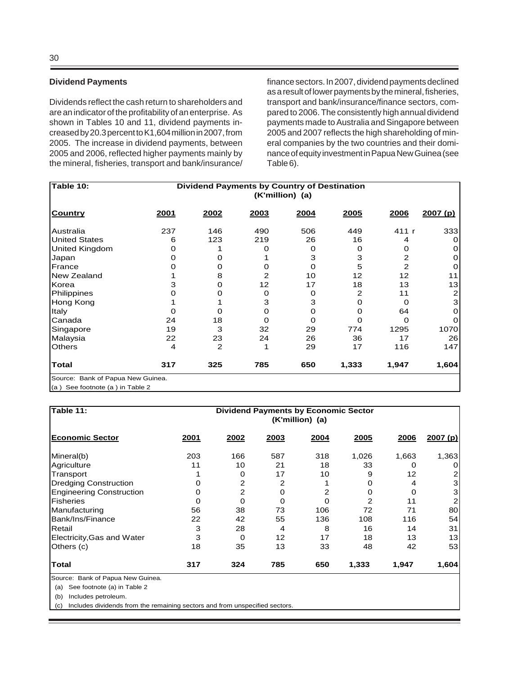## **Dividend Payments**

Dividends reflect the cash return to shareholders and are an indicator of the profitability of an enterprise. As shown in Tables 10 and 11, dividend payments increased by 20.3 percent to K1,604 million in 2007, from 2005. The increase in dividend payments, between 2005 and 2006, reflected higher payments mainly by the mineral, fisheries, transport and bank/insurance/ finance sectors. In 2007, dividend payments declined as a result of lower payments by the mineral, fisheries, transport and bank/insurance/finance sectors, compared to 2006. The consistently high annual dividend payments made to Australia and Singapore between 2005 and 2007 reflects the high shareholding of mineral companies by the two countries and their dominance of equity investment in Papua New Guinea (see Table 6).

| Table 10:                         |                | <b>Dividend Payments by Country of Destination</b> |      | (K'million) (a) |          |                |                |
|-----------------------------------|----------------|----------------------------------------------------|------|-----------------|----------|----------------|----------------|
| Country                           | 2001           | 2002                                               | 2003 | 2004            | 2005     | 2006           | 2007 (p)       |
| Australia                         | 237            | 146                                                | 490  | 506             | 449      | 411 r          | 333            |
| <b>United States</b>              | 6              | 123                                                | 219  | 26              | 16       | 4              | $\overline{0}$ |
| United Kingdom                    | 0              |                                                    | Ο    | 0               | 0        | 0              | $\overline{O}$ |
| Japan                             | 0              | 0                                                  |      | 3               | 3        | 2              | $\overline{0}$ |
| France                            | 0              | 0                                                  | O    | $\mathbf 0$     | 5        | $\overline{2}$ | $\overline{O}$ |
| New Zealand                       |                | 8                                                  | 2    | 10              | 12       | 12             | 11             |
| Korea                             | 3              | 0                                                  | 12   | 17              | 18       | 13             | 13             |
| Philippines                       | 0              | Ο                                                  | 0    | 0               | 2        | 11             | $\overline{a}$ |
| Hong Kong                         |                |                                                    | 3    | 3               | 0        | 0              | 3 <sup>1</sup> |
| Italy                             | O              | O                                                  | 0    | 0               | 0        | 64             | $\overline{O}$ |
| Canada                            | 24             | 18                                                 | 0    | $\Omega$        | $\Omega$ | 0              | $\overline{O}$ |
| Singapore                         | 19             | 3                                                  | 32   | 29              | 774      | 1295           | 1070           |
| Malaysia                          | 22             | 23                                                 | 24   | 26              | 36       | 17             | 26             |
| <b>Others</b>                     | $\overline{4}$ | 2                                                  | 1    | 29              | 17       | 116            | 147            |
| <b>Total</b>                      | 317            | 325                                                | 785  | 650             | 1,333    | 1,947          | 1,604          |
| Source: Bank of Papua New Guinea. |                |                                                    |      |                 |          |                |                |
| (a) See footnote (a) in Table 2   |                |                                                    |      |                 |          |                |                |

| <b>Dividend Payments by Economic Sector</b><br>(K'million) (a) |      |      |      |       |       |                |  |  |  |
|----------------------------------------------------------------|------|------|------|-------|-------|----------------|--|--|--|
| 2001                                                           | 2002 | 2003 | 2004 | 2005  | 2006  | 2007(p)        |  |  |  |
| 203                                                            | 166  | 587  | 318  | 1,026 | 1,663 | 1,363          |  |  |  |
| 11                                                             | 10   | 21   | 18   | 33    | 0     | O              |  |  |  |
|                                                                | 0    | 17   | 10   | 9     | 12    | 2              |  |  |  |
| 0                                                              | 2    | 2    |      | 0     | 4     | 3              |  |  |  |
| 0                                                              | 2    | 0    | 2    | 0     | 0     | 3              |  |  |  |
| 0                                                              | 0    | 0    | 0    | 2     | 11    | $\overline{c}$ |  |  |  |
| 56                                                             | 38   | 73   | 106  | 72    | 71    | 80             |  |  |  |
| 22                                                             | 42   | 55   | 136  | 108   | 116   | 54             |  |  |  |
| 3                                                              | 28   | 4    | 8    | 16    | 14    | 31             |  |  |  |
| 3                                                              | 0    | 12   | 17   | 18    | 13    | 13             |  |  |  |
| 18                                                             | 35   | 13   | 33   | 48    | 42    | 53             |  |  |  |
| 317                                                            | 324  | 785  | 650  | 1,333 | 1,947 | 1,604          |  |  |  |
|                                                                |      |      |      |       |       |                |  |  |  |

(a) See footnote (a) in Table 2

(b) Includes petroleum.

Includes dividends from the remaining sectors and from unspecified sectors.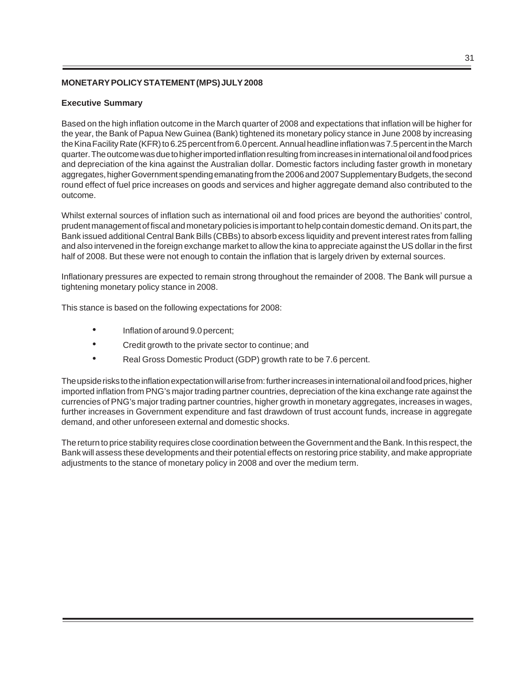## **MONETARY POLICY STATEMENT (MPS) JULY 2008**

## **Executive Summary**

Based on the high inflation outcome in the March quarter of 2008 and expectations that inflation will be higher for the year, the Bank of Papua New Guinea (Bank) tightened its monetary policy stance in June 2008 by increasing the Kina Facility Rate (KFR) to 6.25 percent from 6.0 percent. Annual headline inflation was 7.5 percent in the March quarter. The outcome was due to higher imported inflation resulting from increases in international oil and food prices and depreciation of the kina against the Australian dollar. Domestic factors including faster growth in monetary aggregates, higher Government spending emanating from the 2006 and 2007 Supplementary Budgets, the second round effect of fuel price increases on goods and services and higher aggregate demand also contributed to the outcome.

Whilst external sources of inflation such as international oil and food prices are beyond the authorities' control, prudent management of fiscal and monetary policies is important to help contain domestic demand. On its part, the Bank issued additional Central Bank Bills (CBBs) to absorb excess liquidity and prevent interest rates from falling and also intervened in the foreign exchange market to allow the kina to appreciate against the US dollar in the first half of 2008. But these were not enough to contain the inflation that is largely driven by external sources.

Inflationary pressures are expected to remain strong throughout the remainder of 2008. The Bank will pursue a tightening monetary policy stance in 2008.

This stance is based on the following expectations for 2008:

- Inflation of around 9.0 percent;
- Credit growth to the private sector to continue; and
- Real Gross Domestic Product (GDP) growth rate to be 7.6 percent.

The upside risks to the inflation expectation will arise from: further increases in international oil and food prices, higher imported inflation from PNG's major trading partner countries, depreciation of the kina exchange rate against the currencies of PNG's major trading partner countries, higher growth in monetary aggregates, increases in wages, further increases in Government expenditure and fast drawdown of trust account funds, increase in aggregate demand, and other unforeseen external and domestic shocks.

The return to price stability requires close coordination between the Government and the Bank. In this respect, the Bank will assess these developments and their potential effects on restoring price stability, and make appropriate adjustments to the stance of monetary policy in 2008 and over the medium term.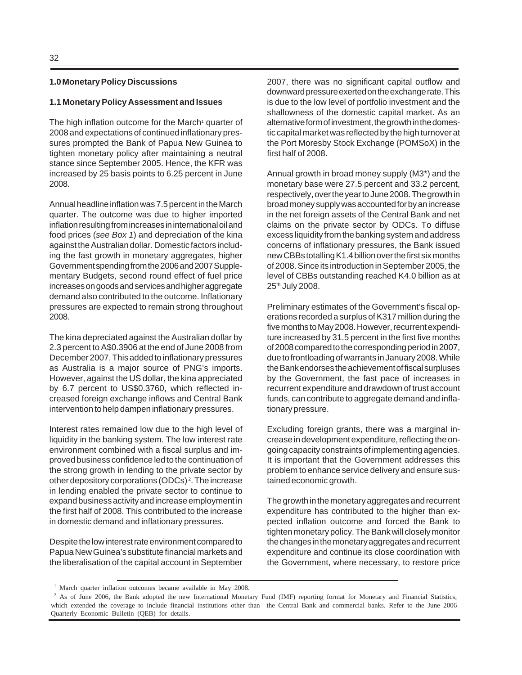#### **1.0 Monetary Policy Discussions**

#### **1.1 Monetary Policy Assessment and Issues**

The high inflation outcome for the March<sup>1</sup> quarter of 2008 and expectations of continued inflationary pressures prompted the Bank of Papua New Guinea to tighten monetary policy after maintaining a neutral stance since September 2005. Hence, the KFR was increased by 25 basis points to 6.25 percent in June 2008.

Annual headline inflation was 7.5 percent in the March quarter. The outcome was due to higher imported inflation resulting from increases in international oil and food prices (*see Box 1*) and depreciation of the kina against the Australian dollar. Domestic factors including the fast growth in monetary aggregates, higher Government spending from the 2006 and 2007 Supplementary Budgets, second round effect of fuel price increases on goods and services and higher aggregate demand also contributed to the outcome. Inflationary pressures are expected to remain strong throughout 2008.

The kina depreciated against the Australian dollar by 2.3 percent to A\$0.3906 at the end of June 2008 from December 2007. This added to inflationary pressures as Australia is a major source of PNG's imports. However, against the US dollar, the kina appreciated by 6.7 percent to US\$0.3760, which reflected increased foreign exchange inflows and Central Bank intervention to help dampen inflationary pressures.

Interest rates remained low due to the high level of liquidity in the banking system. The low interest rate environment combined with a fiscal surplus and improved business confidence led to the continuation of the strong growth in lending to the private sector by other depository corporations (ODCs) <sup>2</sup> . The increase in lending enabled the private sector to continue to expand business activity and increase employment in the first half of 2008. This contributed to the increase in domestic demand and inflationary pressures.

Despite the low interest rate environment compared to Papua New Guinea's substitute financial markets and the liberalisation of the capital account in September 2007, there was no significant capital outflow and downward pressure exerted on the exchange rate. This is due to the low level of portfolio investment and the shallowness of the domestic capital market. As an alternative form of investment, the growth in the domestic capital market was reflected by the high turnover at the Port Moresby Stock Exchange (POMSoX) in the first half of 2008.

Annual growth in broad money supply (M3\*) and the monetary base were 27.5 percent and 33.2 percent, respectively, over the year to June 2008. The growth in broad money supply was accounted for by an increase in the net foreign assets of the Central Bank and net claims on the private sector by ODCs. To diffuse excess liquidity from the banking system and address concerns of inflationary pressures, the Bank issued new CBBs totalling K1.4 billion over the first six months of 2008. Since its introduction in September 2005, the level of CBBs outstanding reached K4.0 billion as at 25th July 2008.

Preliminary estimates of the Government's fiscal operations recorded a surplus of K317 million during the five months to May 2008. However, recurrent expenditure increased by 31.5 percent in the first five months of 2008 compared to the corresponding period in 2007, due to frontloading of warrants in January 2008. While the Bank endorses the achievement of fiscal surpluses by the Government, the fast pace of increases in recurrent expenditure and drawdown of trust account funds, can contribute to aggregate demand and inflationary pressure.

Excluding foreign grants, there was a marginal increase in development expenditure, reflecting the ongoing capacity constraints of implementing agencies. It is important that the Government addresses this problem to enhance service delivery and ensure sustained economic growth.

The growth in the monetary aggregates and recurrent expenditure has contributed to the higher than expected inflation outcome and forced the Bank to tighten monetary policy. The Bank will closely monitor the changes in the monetary aggregates and recurrent expenditure and continue its close coordination with the Government, where necessary, to restore price

<sup>&</sup>lt;sup>1</sup> March quarter inflation outcomes became available in May 2008.

<sup>&</sup>lt;sup>2</sup> As of June 2006, the Bank adopted the new International Monetary Fund (IMF) reporting format for Monetary and Financial Statistics, which extended the coverage to include financial institutions other than the Central Bank and commercial banks. Refer to the June 2006 Quarterly Economic Bulletin (QEB) for details.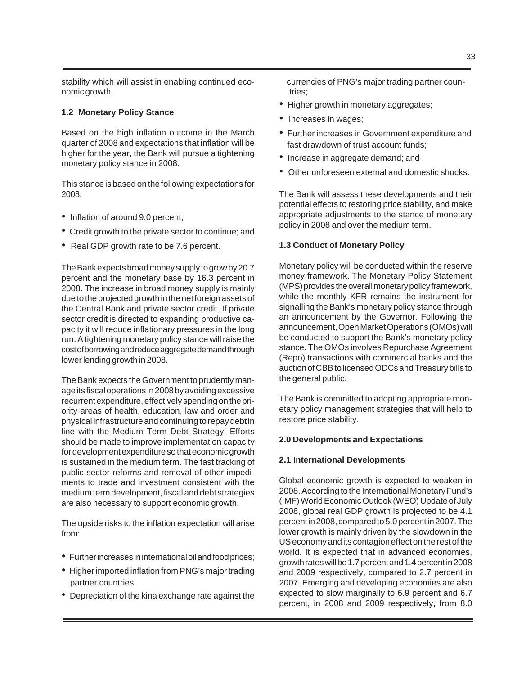stability which will assist in enabling continued economic growth.

## **1.2 Monetary Policy Stance**

Based on the high inflation outcome in the March quarter of 2008 and expectations that inflation will be higher for the year, the Bank will pursue a tightening monetary policy stance in 2008.

This stance is based on the following expectations for 2008:

- Inflation of around 9.0 percent;
- Credit growth to the private sector to continue; and
- Real GDP growth rate to be 7.6 percent.

The Bank expects broad money supply to grow by 20.7 percent and the monetary base by 16.3 percent in 2008. The increase in broad money supply is mainly due to the projected growth in the net foreign assets of the Central Bank and private sector credit. If private sector credit is directed to expanding productive capacity it will reduce inflationary pressures in the long run. A tightening monetary policy stance will raise the cost of borrowing and reduce aggregate demand through lower lending growth in 2008.

The Bank expects the Government to prudently manage its fiscal operations in 2008 by avoiding excessive recurrent expenditure, effectively spending on the priority areas of health, education, law and order and physical infrastructure and continuing to repay debt in line with the Medium Term Debt Strategy. Efforts should be made to improve implementation capacity for development expenditure so that economic growth is sustained in the medium term. The fast tracking of public sector reforms and removal of other impediments to trade and investment consistent with the medium term development, fiscal and debt strategies are also necessary to support economic growth.

The upside risks to the inflation expectation will arise from:

- Further increases in international oil and food prices;
- Higher imported inflation from PNG's major trading partner countries;
- Depreciation of the kina exchange rate against the

 currencies of PNG's major trading partner coun tries;

- Higher growth in monetary aggregates;
- Increases in wages;
- Further increases in Government expenditure and fast drawdown of trust account funds;
- Increase in aggregate demand; and
- Other unforeseen external and domestic shocks.

The Bank will assess these developments and their potential effects to restoring price stability, and make appropriate adjustments to the stance of monetary policy in 2008 and over the medium term.

## **1.3 Conduct of Monetary Policy**

Monetary policy will be conducted within the reserve money framework. The Monetary Policy Statement (MPS) provides the overall monetary policy framework, while the monthly KFR remains the instrument for signalling the Bank's monetary policy stance through an announcement by the Governor. Following the announcement, Open Market Operations (OMOs) will be conducted to support the Bank's monetary policy stance. The OMOs involves Repurchase Agreement (Repo) transactions with commercial banks and the auction of CBB to licensed ODCs and Treasury bills to the general public.

The Bank is committed to adopting appropriate monetary policy management strategies that will help to restore price stability.

#### **2.0 Developments and Expectations**

#### **2.1 International Developments**

Global economic growth is expected to weaken in 2008. According to the International Monetary Fund's (IMF) World Economic Outlook (WEO) Update of July 2008, global real GDP growth is projected to be 4.1 percent in 2008, compared to 5.0 percent in 2007. The lower growth is mainly driven by the slowdown in the US economy and its contagion effect on the rest of the world. It is expected that in advanced economies, growth rates will be 1.7 percent and 1.4 percent in 2008 and 2009 respectively, compared to 2.7 percent in 2007. Emerging and developing economies are also expected to slow marginally to 6.9 percent and 6.7 percent, in 2008 and 2009 respectively, from 8.0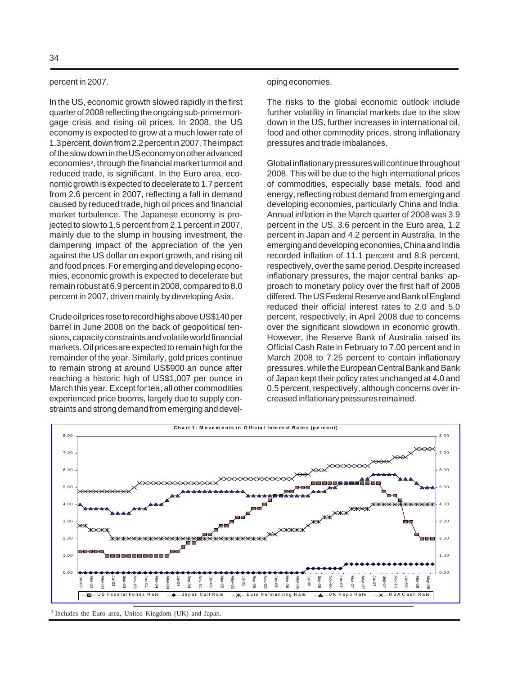#### percent in 2007.

In the US, economic growth slowed rapidly in the first quarter of 2008 reflecting the ongoing sub-prime mortgage crisis and rising oil prices. In 2008, the US economy is expected to grow at a much lower rate of 1.3 percent, down from 2.2 percent in 2007. The impact of the slow down in the US economy on other advanced economies<sup>3</sup>, through the financial market turmoil and reduced trade, is significant. In the Euro area, economic growth is expected to decelerate to 1.7 percent from 2.6 percent in 2007, reflecting a fall in demand caused by reduced trade, high oil prices and financial market turbulence. The Japanese economy is projected to slow to 1.5 percent from 2.1 percent in 2007, mainly due to the slump in housing investment, the dampening impact of the appreciation of the yen against the US dollar on export growth, and rising oil and food prices. For emerging and developing economies, economic growth is expected to decelerate but remain robust at 6.9 percent in 2008, compared to 8.0 percent in 2007, driven mainly by developing Asia.

Crude oil prices rose to record highs above US\$140 per barrel in June 2008 on the back of geopolitical tensions, capacity constraints and volatile world financial markets. Oil prices are expected to remain high for the remainder of the year. Similarly, gold prices continue to remain strong at around US\$900 an ounce after reaching a historic high of US\$1,007 per ounce in March this year. Except for tea, all other commodities experienced price booms, largely due to supply constraints and strong demand from emerging and devel-

#### oping economies.

The risks to the global economic outlook include further volatility in financial markets due to the slow down in the US, further increases in international oil, food and other commodity prices, strong inflationary pressures and trade imbalances.

Global inflationary pressures will continue throughout 2008. This will be due to the high international prices of commodities, especially base metals, food and energy, reflecting robust demand from emerging and developing economies, particularly China and India. Annual inflation in the March quarter of 2008 was 3.9 percent in the US, 3.6 percent in the Euro area, 1.2 percent in Japan and 4.2 percent in Australia. In the emerging and developing economies, China and India recorded inflation of 11.1 percent and 8.8 percent, respectively, over the same period. Despite increased inflationary pressures, the major central banks' approach to monetary policy over the first half of 2008 differed. The US Federal Reserve and Bank of England reduced their official interest rates to 2.0 and 5.0 percent, respectively, in April 2008 due to concerns over the significant slowdown in economic growth. However, the Reserve Bank of Australia raised its Official Cash Rate in February to 7.00 percent and in March 2008 to 7.25 percent to contain inflationary pressures, while the European Central Bank and Bank of Japan kept their policy rates unchanged at 4.0 and 0.5 percent, respectively, although concerns over increased inflationary pressures remained.



<sup>3</sup> Includes the Euro area, United Kingdom (UK) and Japan.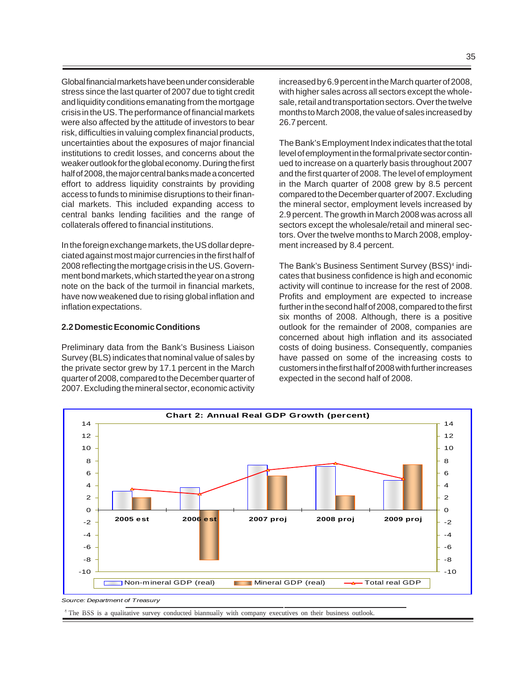Global financial markets have been under considerable stress since the last quarter of 2007 due to tight credit and liquidity conditions emanating from the mortgage crisis in the US. The performance of financial markets were also affected by the attitude of investors to bear risk, difficulties in valuing complex financial products, uncertainties about the exposures of major financial institutions to credit losses, and concerns about the weaker outlook for the global economy. During the first half of 2008, the major central banks made a concerted effort to address liquidity constraints by providing access to funds to minimise disruptions to their financial markets. This included expanding access to central banks lending facilities and the range of collaterals offered to financial institutions.

In the foreign exchange markets, the US dollar depreciated against most major currencies in the first half of 2008 reflecting the mortgage crisis in the US. Government bond markets, which started the year on a strong note on the back of the turmoil in financial markets, have now weakened due to rising global inflation and inflation expectations.

#### **2.2 Domestic Economic Conditions**

Preliminary data from the Bank's Business Liaison Survey (BLS) indicates that nominal value of sales by the private sector grew by 17.1 percent in the March quarter of 2008, compared to the December quarter of 2007. Excluding the mineral sector, economic activity

The Bank's Employment Index indicates that the total level of employment in the formal private sector continued to increase on a quarterly basis throughout 2007 and the first quarter of 2008. The level of employment in the March quarter of 2008 grew by 8.5 percent compared to the December quarter of 2007. Excluding the mineral sector, employment levels increased by 2.9 percent. The growth in March 2008 was across all sectors except the wholesale/retail and mineral sectors. Over the twelve months to March 2008, employment increased by 8.4 percent.

The Bank's Business Sentiment Survey (BSS)<sup>4</sup> indicates that business confidence is high and economic activity will continue to increase for the rest of 2008. Profits and employment are expected to increase further in the second half of 2008, compared to the first six months of 2008. Although, there is a positive outlook for the remainder of 2008, companies are concerned about high inflation and its associated costs of doing business. Consequently, companies have passed on some of the increasing costs to customers in the first half of 2008 with further increases expected in the second half of 2008.



*Source: Department of Treasury*

<sup>4</sup> The BSS is a qualitative survey conducted biannually with company executives on their business outlook.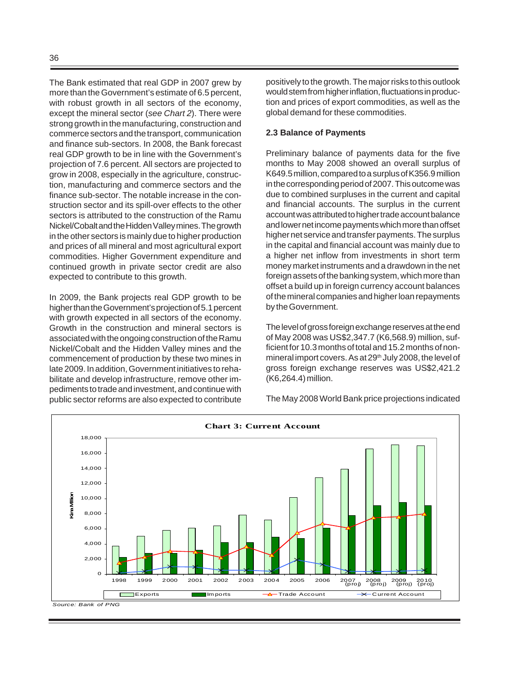The Bank estimated that real GDP in 2007 grew by more than the Government's estimate of 6.5 percent, with robust growth in all sectors of the economy, except the mineral sector (*see Chart 2*). There were strong growth in the manufacturing, construction and commerce sectors and the transport, communication and finance sub-sectors. In 2008, the Bank forecast real GDP growth to be in line with the Government's projection of 7.6 percent. All sectors are projected to grow in 2008, especially in the agriculture, construction, manufacturing and commerce sectors and the finance sub-sector. The notable increase in the construction sector and its spill-over effects to the other sectors is attributed to the construction of the Ramu Nickel/Cobalt and the Hidden Valley mines. The growth in the other sectors is mainly due to higher production and prices of all mineral and most agricultural export commodities. Higher Government expenditure and continued growth in private sector credit are also expected to contribute to this growth.

In 2009, the Bank projects real GDP growth to be higher than the Government's projection of 5.1 percent with growth expected in all sectors of the economy. Growth in the construction and mineral sectors is associated with the ongoing construction of the Ramu Nickel/Cobalt and the Hidden Valley mines and the commencement of production by these two mines in late 2009. In addition, Government initiatives to rehabilitate and develop infrastructure, remove other impediments to trade and investment, and continue with public sector reforms are also expected to contribute

positively to the growth. The major risks to this outlook would stem from higher inflation, fluctuations in production and prices of export commodities, as well as the global demand for these commodities.

#### **2.3 Balance of Payments**

Preliminary balance of payments data for the five months to May 2008 showed an overall surplus of K649.5 million, compared to a surplus of K356.9 million in the corresponding period of 2007. This outcome was due to combined surpluses in the current and capital and financial accounts. The surplus in the current account was attributed to higher trade account balance and lower net income payments which more than offset higher net service and transfer payments. The surplus in the capital and financial account was mainly due to a higher net inflow from investments in short term money market instruments and a drawdown in the net foreign assets of the banking system, which more than offset a build up in foreign currency account balances of the mineral companies and higher loan repayments by the Government.

The level of gross foreign exchange reserves at the end of May 2008 was US\$2,347.7 (K6,568.9) million, sufficient for 10.3 months of total and 15.2 months of nonmineral import covers. As at 29<sup>th</sup> July 2008, the level of gross foreign exchange reserves was US\$2,421.2 (K6,264.4) million.

**Chart3: Current Account Chart 3: Current Account**18,000 16,000 14,000 12,000 **Kina Million** Kina Milion 10,000 8,000 6,000 4,000 2,000 0 1998 1999 2000 2001 2002 2003 2004 2005 2006 2007 2008 2009 2010 (proj) (proj) (proj) (proj) The Imports Trade Account Courrent Account Trade Trade Account г

The May 2008 World Bank price projections indicated

*Source: Bank of PNG*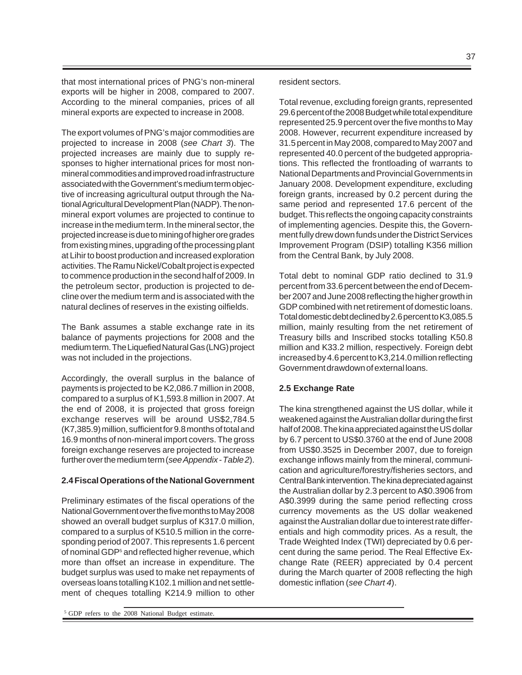that most international prices of PNG's non-mineral exports will be higher in 2008, compared to 2007. According to the mineral companies, prices of all mineral exports are expected to increase in 2008.

The export volumes of PNG's major commodities are projected to increase in 2008 (*see Chart 3*). The projected increases are mainly due to supply responses to higher international prices for most nonmineral commodities and improved road infrastructure associated with the Government's medium term objective of increasing agricultural output through the National Agricultural Development Plan (NADP). The nonmineral export volumes are projected to continue to increase in the medium term. In the mineral sector, the projected increase is due to mining of higher ore grades from existing mines, upgrading of the processing plant at Lihir to boost production and increased exploration activities. The Ramu Nickel/Cobalt project is expected to commence production in the second half of 2009. In the petroleum sector, production is projected to decline over the medium term and is associated with the natural declines of reserves in the existing oilfields.

The Bank assumes a stable exchange rate in its balance of payments projections for 2008 and the medium term. The Liquefied Natural Gas (LNG) project was not included in the projections.

Accordingly, the overall surplus in the balance of payments is projected to be K2,086.7 million in 2008, compared to a surplus of K1,593.8 million in 2007. At the end of 2008, it is projected that gross foreign exchange reserves will be around US\$2,784.5 (K7,385.9) million, sufficient for 9.8 months of total and 16.9 months of non-mineral import covers. The gross foreign exchange reserves are projected to increase further over the medium term (*see Appendix - Table 2*).

## **2.4 Fiscal Operations of the National Government**

Preliminary estimates of the fiscal operations of the National Government over the five months to May 2008 showed an overall budget surplus of K317.0 million, compared to a surplus of K510.5 million in the corresponding period of 2007. This represents 1.6 percent of nominal GDP<sup>5</sup> and reflected higher revenue, which more than offset an increase in expenditure. The budget surplus was used to make net repayments of overseas loans totalling K102.1 million and net settlement of cheques totalling K214.9 million to other

resident sectors.

Total revenue, excluding foreign grants, represented 29.6 percent of the 2008 Budget while total expenditure represented 25.9 percent over the five months to May 2008. However, recurrent expenditure increased by 31.5 percent in May 2008, compared to May 2007 and represented 40.0 percent of the budgeted appropriations. This reflected the frontloading of warrants to National Departments and Provincial Governments in January 2008. Development expenditure, excluding foreign grants, increased by 0.2 percent during the same period and represented 17.6 percent of the budget. This reflects the ongoing capacity constraints of implementing agencies. Despite this, the Government fully drew down funds under the District Services Improvement Program (DSIP) totalling K356 million from the Central Bank, by July 2008.

Total debt to nominal GDP ratio declined to 31.9 percent from 33.6 percent between the end of December 2007 and June 2008 reflecting the higher growth in GDP combined with net retirement of domestic loans. Total domestic debt declined by 2.6 percent to K3,085.5 million, mainly resulting from the net retirement of Treasury bills and Inscribed stocks totalling K50.8 million and K33.2 million, respectively. Foreign debt increased by 4.6 percent to K3,214.0 million reflecting Government drawdown of external loans.

# **2.5 Exchange Rate**

The kina strengthened against the US dollar, while it weakened against the Australian dollar during the first half of 2008. The kina appreciated against the US dollar by 6.7 percent to US\$0.3760 at the end of June 2008 from US\$0.3525 in December 2007, due to foreign exchange inflows mainly from the mineral, communication and agriculture/forestry/fisheries sectors, and Central Bank intervention. The kina depreciated against the Australian dollar by 2.3 percent to A\$0.3906 from A\$0.3999 during the same period reflecting cross currency movements as the US dollar weakened against the Australian dollar due to interest rate differentials and high commodity prices. As a result, the Trade Weighted Index (TWI) depreciated by 0.6 percent during the same period. The Real Effective Exchange Rate (REER) appreciated by 0.4 percent during the March quarter of 2008 reflecting the high domestic inflation (*see Chart 4*).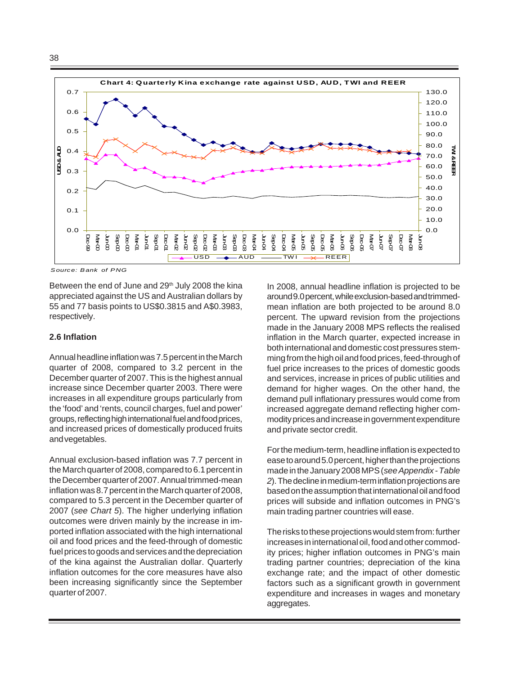

*Source: Bank of PNG*

Between the end of June and 29<sup>th</sup> July 2008 the kina appreciated against the US and Australian dollars by 55 and 77 basis points to US\$0.3815 and A\$0.3983, respectively.

#### **2.6 Inflation**

Annual headline inflation was 7.5 percent in the March quarter of 2008, compared to 3.2 percent in the December quarter of 2007. This is the highest annual increase since December quarter 2003. There were increases in all expenditure groups particularly from the 'food' and 'rents, council charges, fuel and power' groups, reflecting high international fuel and food prices, and increased prices of domestically produced fruits and vegetables.

Annual exclusion-based inflation was 7.7 percent in the March quarter of 2008, compared to 6.1 percent in the December quarter of 2007. Annual trimmed-mean inflation was 8.7 percent in the March quarter of 2008, compared to 5.3 percent in the December quarter of 2007 (*see Chart 5*). The higher underlying inflation outcomes were driven mainly by the increase in imported inflation associated with the high international oil and food prices and the feed-through of domestic fuel prices to goods and services and the depreciation of the kina against the Australian dollar. Quarterly inflation outcomes for the core measures have also been increasing significantly since the September quarter of 2007.

In 2008, annual headline inflation is projected to be around 9.0 percent, while exclusion-based and trimmedmean inflation are both projected to be around 8.0 percent. The upward revision from the projections made in the January 2008 MPS reflects the realised inflation in the March quarter, expected increase in both international and domestic cost pressures stemming from the high oil and food prices, feed-through of fuel price increases to the prices of domestic goods and services, increase in prices of public utilities and demand for higher wages. On the other hand, the demand pull inflationary pressures would come from increased aggregate demand reflecting higher commodity prices and increase in government expenditure and private sector credit.

For the medium-term, headline inflation is expected to ease to around 5.0 percent, higher than the projections made in the January 2008 MPS (*see Appendix - Table 2*). The decline in medium-term inflation projections are based on the assumption that international oil and food prices will subside and inflation outcomes in PNG's main trading partner countries will ease.

The risks to these projections would stem from: further increases in international oil, food and other commodity prices; higher inflation outcomes in PNG's main trading partner countries; depreciation of the kina exchange rate; and the impact of other domestic factors such as a significant growth in government expenditure and increases in wages and monetary aggregates.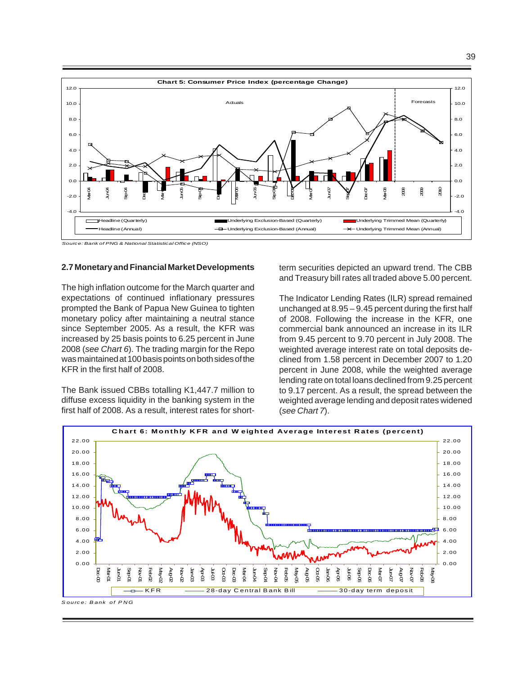

*Source: Bank of PNG & National Statistical Office (NSO)*

The high inflation outcome for the March quarter and expectations of continued inflationary pressures prompted the Bank of Papua New Guinea to tighten monetary policy after maintaining a neutral stance since September 2005. As a result, the KFR was increased by 25 basis points to 6.25 percent in June 2008 (*see Chart 6*). The trading margin for the Repo was maintained at 100 basis points on both sides of the KFR in the first half of 2008.

The Bank issued CBBs totalling K1,447.7 million to diffuse excess liquidity in the banking system in the first half of 2008. As a result, interest rates for short-

term securities depicted an upward trend. The CBB and Treasury bill rates all traded above 5.00 percent.

The Indicator Lending Rates (ILR) spread remained unchanged at 8.95 – 9.45 percent during the first half of 2008. Following the increase in the KFR, one commercial bank announced an increase in its ILR from 9.45 percent to 9.70 percent in July 2008. The weighted average interest rate on total deposits declined from 1.58 percent in December 2007 to 1.20 percent in June 2008, while the weighted average lending rate on total loans declined from 9.25 percent to 9.17 percent. As a result, the spread between the weighted average lending and deposit rates widened (*see Chart 7*).



*S ourc e: B ank of P NG*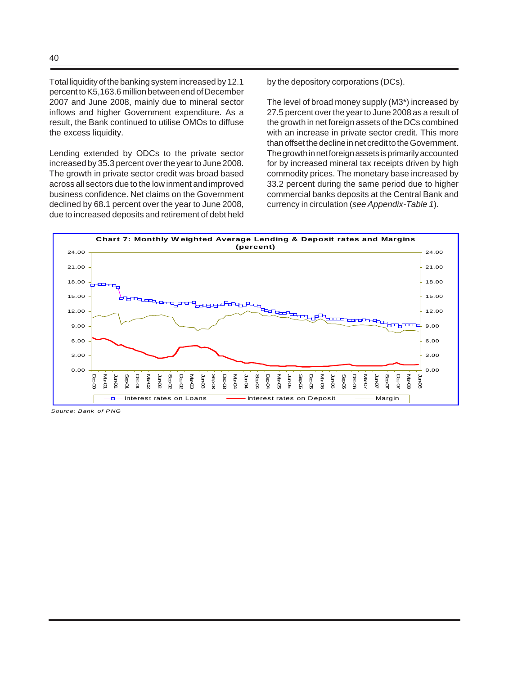Total liquidity of the banking system increased by 12.1 percent to K5,163.6 million between end of December 2007 and June 2008, mainly due to mineral sector inflows and higher Government expenditure. As a result, the Bank continued to utilise OMOs to diffuse the excess liquidity.

Lending extended by ODCs to the private sector increased by 35.3 percent over the year to June 2008. The growth in private sector credit was broad based across all sectors due to the low inment and improved business confidence. Net claims on the Government declined by 68.1 percent over the year to June 2008, due to increased deposits and retirement of debt held by the depository corporations (DCs).

The level of broad money supply (M3\*) increased by 27.5 percent over the year to June 2008 as a result of the growth in net foreign assets of the DCs combined with an increase in private sector credit. This more than offset the decline in net credit to the Government. The growth in net foreign assets is primarily accounted for by increased mineral tax receipts driven by high commodity prices. The monetary base increased by 33.2 percent during the same period due to higher commercial banks deposits at the Central Bank and currency in circulation (*see Appendix-Table 1*).



*Source: Bank of PNG*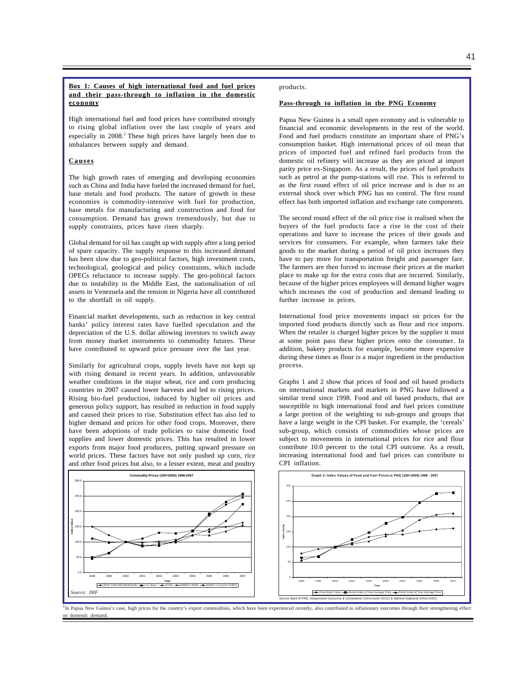#### **Box 1: Causes of high international food and fuel prices and their pass-through to inflation in the domestic economy**

High international fuel and food prices have contributed strongly to rising global inflation over the last couple of years and especially in 2008.<sup>1</sup> These high prices have largely been due to imbalances between supply and demand.

#### **Causes**

The high growth rates of emerging and developing economies such as China and India have fueled the increased demand for fuel, base metals and food products. The nature of growth in these economies is commodity-intensive with fuel for production, base metals for manufacturing and construction and food for consumption. Demand has grown tremendously, but due to supply constraints, prices have risen sharply.

Global demand for oil has caught up with supply after a long period of spare capacity. The supply response to this increased demand has been slow due to geo-political factors, high investment costs, technological, geological and policy constraints, which include OPECs reluctance to increase supply. The geo-political factors due to instability in the Middle East, the nationalisation of oil assets in Venezuela and the tension in Nigeria have all contributed to the shortfall in oil supply.

Financial market developments, such as reduction in key central banks' policy interest rates have fuelled speculation and the depreciation of the U.S. dollar allowing investors to switch away from money market instruments to commodity futures. These have contributed to upward price pressure over the last year.

Similarly for agricultural crops, supply levels have not kept up with rising demand in recent years. In addition, unfavourable weather conditions in the major wheat, rice and corn producing countries in 2007 caused lower harvests and led to rising prices. Rising bio-fuel production, induced by higher oil prices and generous policy support, has resulted in reduction in food supply and caused their prices to rise. Substitution effect has also led to higher demand and prices for other food crops. Moreover, there have been adoptions of trade policies to raise domestic food supplies and lower domestic prices. This has resulted in lower exports from major food producers, putting upward pressure on world prices. These factors have not only pushed up corn, rice and other food prices but also, to a lesser extent, meat and poultry

products.

#### **Pass-through to inflation in the PNG Economy**

Papua New Guinea is a small open economy and is vulnerable to financial and economic developments in the rest of the world. Food and fuel products constitute an important share of PNG's consumption basket. High international prices of oil mean that prices of imported fuel and refined fuel products from the domestic oil refinery will increase as they are priced at import parity price ex-Singapore. As a result, the prices of fuel products such as petrol at the pump-stations will rise. This is referred to as the first round effect of oil price increase and is due to an external shock over which PNG has no control. The first round effect has both imported inflation and exchange rate components.

The second round effect of the oil price rise is realised when the buyers of the fuel products face a rise in the cost of their operations and have to increase the prices of their goods and services for consumers. For example, when farmers take their goods to the market during a period of oil price increases they have to pay more for transportation freight and passenger fare. The farmers are then forced to increase their prices at the market place to make up for the extra costs that are incurred. Similarly, because of the higher prices employees will demand higher wages which increases the cost of production and demand leading to further increase in prices.

International food price movements impact on prices for the imported food products directly such as flour and rice imports. When the retailer is charged higher prices by the supplier it must at some point pass these higher prices onto the consumer. In addition, bakery products for example, become more expensive during these times as flour is a major ingredient in the production process.

Graphs 1 and 2 show that prices of food and oil based products on international markets and markets in PNG have followed a similar trend since 1998. Food and oil based products, that are susceptible to high international food and fuel prices constitute a large portion of the weighting to sub-groups and groups that have a large weight in the CPI basket. For example, the 'cereals' sub-group, which consists of commodities whose prices are subject to movements in international prices for rice and flour contribute 10.0 percent to the total CPI outcome. As a result, increasing international food and fuel prices can contribute to CPI inflation.



<sup>1</sup>In Papua New Guinea's case, high prices for the country's export commodities, which have been experienced recently, also contributed to inflationary outcomes through their strengthening effect on domestic demand.